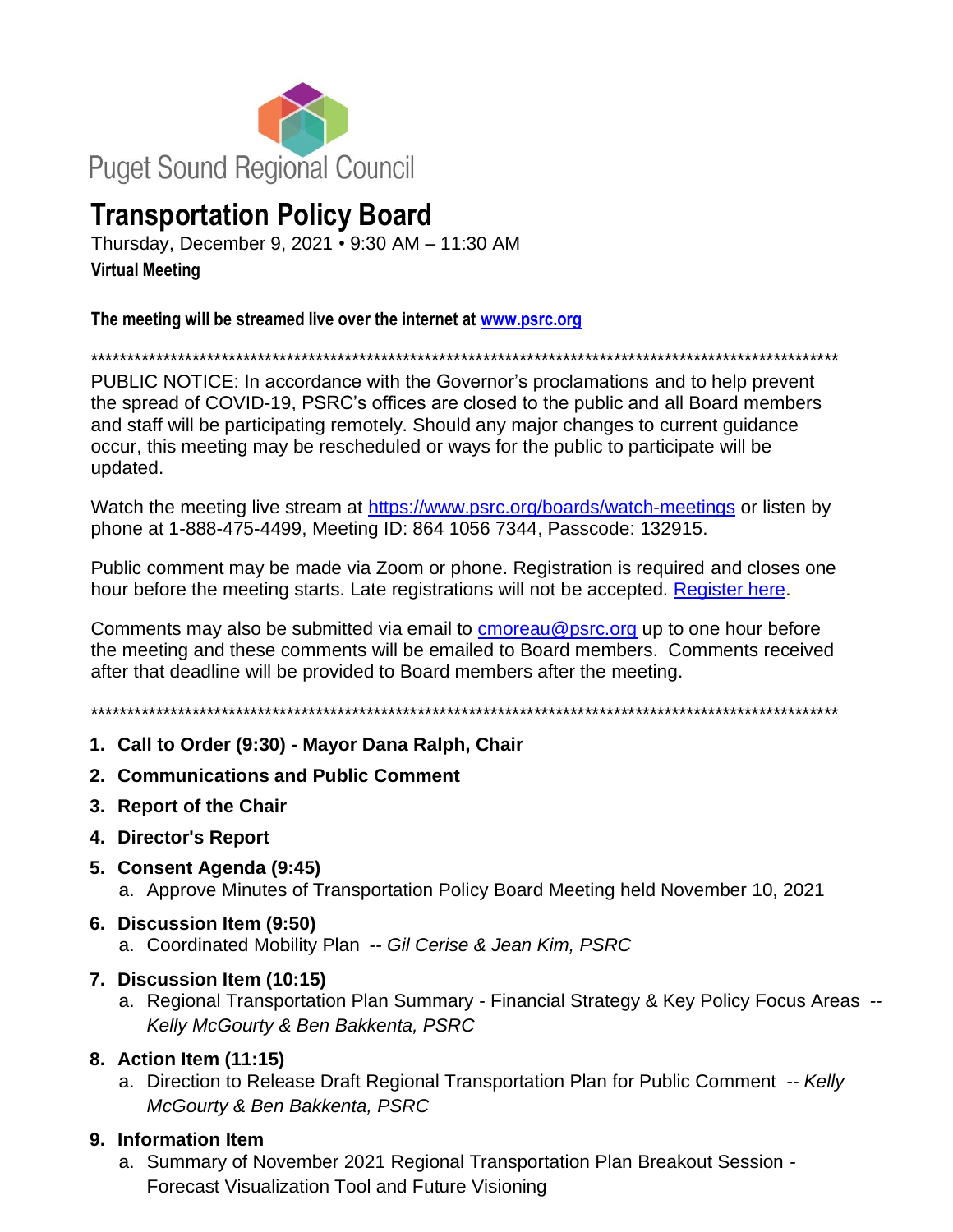

# **Transportation Policy Board**

Thursday, December 9, 2021 • 9:30 AM – 11:30 AM **Virtual Meeting**

**The meeting will be streamed live over the internet at [www.psrc.org](http://www.psrc.org/)**

\*\*\*\*\*\*\*\*\*\*\*\*\*\*\*\*\*\*\*\*\*\*\*\*\*\*\*\*\*\*\*\*\*\*\*\*\*\*\*\*\*\*\*\*\*\*\*\*\*\*\*\*\*\*\*\*\*\*\*\*\*\*\*\*\*\*\*\*\*\*\*\*\*\*\*\*\*\*\*\*\*\*\*\*\*\*\*\*\*\*\*\*\*\*\*\*\*\*\*\*\*\*\*

PUBLIC NOTICE: In accordance with the Governor's proclamations and to help prevent the spread of COVID-19, PSRC's offices are closed to the public and all Board members and staff will be participating remotely. Should any major changes to current guidance occur, this meeting may be rescheduled or ways for the public to participate will be updated.

Watch the meeting live stream at<https://www.psrc.org/boards/watch-meetings> or listen by phone at 1-888-475-4499, Meeting ID: 864 1056 7344, Passcode: 132915.

Public comment may be made via Zoom or phone. Registration is required and closes one hour before the meeting starts. Late registrations will not be accepted. [Register here.](https://forms.office.com/Pages/ResponsePage.aspx?id=oZwuWURGfkGyLxyzXVdNrQeHte0rHLFCk9e1DWiW-TBUMEU3SkRSVkpFNkxDS1FBMEZKNElLUFZCSCQlQCN0PWcu)

Comments may also be submitted via email to [cmoreau@psrc.org](mailto:cmoreau@psrc.org) up to one hour before the meeting and these comments will be emailed to Board members. Comments received after that deadline will be provided to Board members after the meeting.

\*\*\*\*\*\*\*\*\*\*\*\*\*\*\*\*\*\*\*\*\*\*\*\*\*\*\*\*\*\*\*\*\*\*\*\*\*\*\*\*\*\*\*\*\*\*\*\*\*\*\*\*\*\*\*\*\*\*\*\*\*\*\*\*\*\*\*\*\*\*\*\*\*\*\*\*\*\*\*\*\*\*\*\*\*\*\*\*\*\*\*\*\*\*\*\*\*\*\*\*\*\*\*

- **1. Call to Order (9:30) - Mayor Dana Ralph, Chair**
- **2. Communications and Public Comment**
- **3. Report of the Chair**
- **4. Director's Report**
- **5. Consent Agenda (9:45)**
	- a. Approve Minutes of Transportation Policy Board Meeting held November 10, 2021
- **6. Discussion Item (9:50)**
	- a. Coordinated Mobility Plan *-- Gil Cerise & Jean Kim, PSRC*
- **7. Discussion Item (10:15)**
	- a. Regional Transportation Plan Summary Financial Strategy & Key Policy Focus Areas *-- Kelly McGourty & Ben Bakkenta, PSRC*

# **8. Action Item (11:15)**

a. Direction to Release Draft Regional Transportation Plan for Public Comment *-- Kelly McGourty & Ben Bakkenta, PSRC*

# **9. Information Item**

a. Summary of November 2021 Regional Transportation Plan Breakout Session - Forecast Visualization Tool and Future Visioning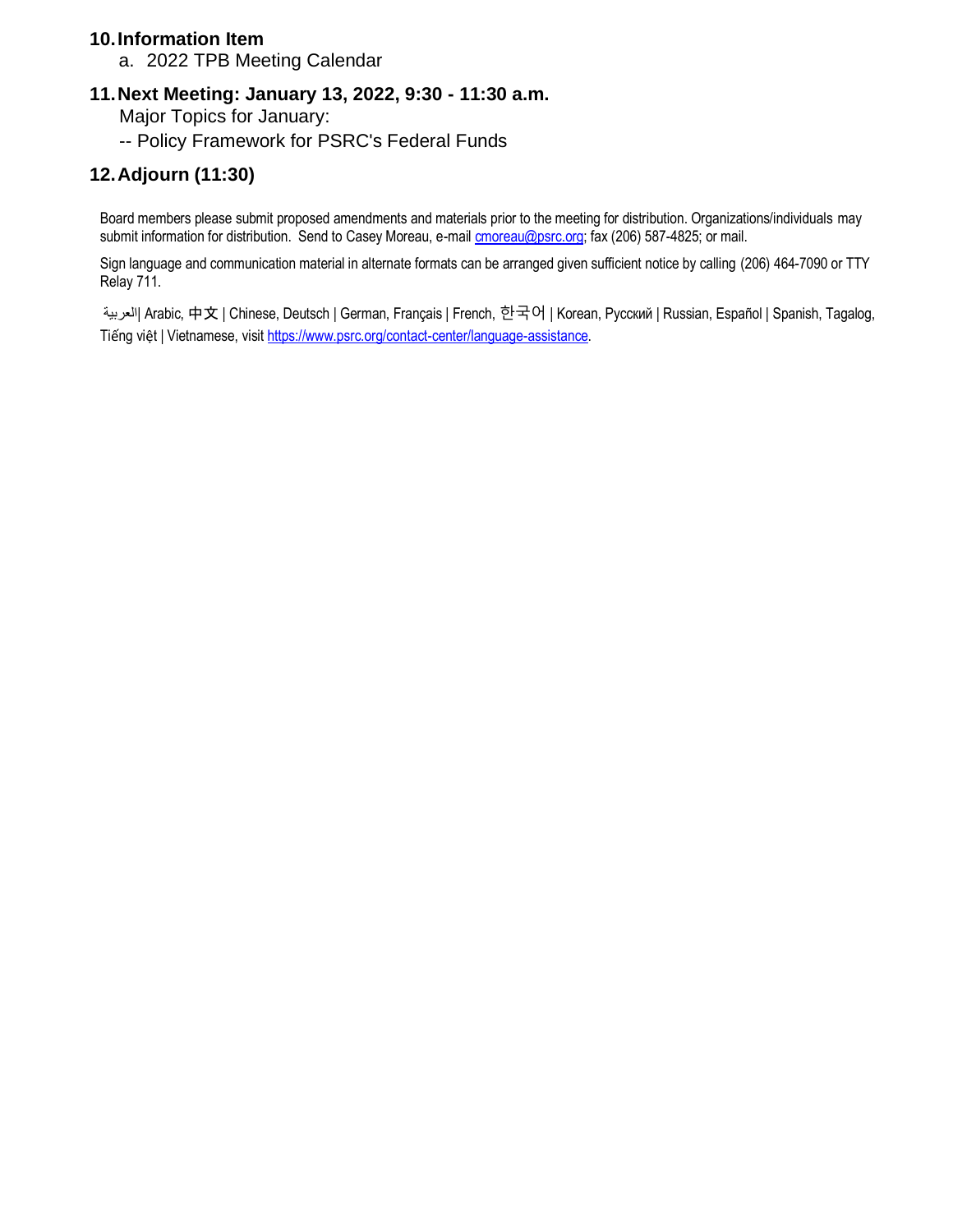# **10.Information Item**

a. 2022 TPB Meeting Calendar

# **11.Next Meeting: January 13, 2022, 9:30 - 11:30 a.m.**

- Major Topics for January:
- -- Policy Framework for PSRC's Federal Funds

# **12.Adjourn (11:30)**

Board members please submit proposed amendments and materials prior to the meeting for distribution. Organizations/individuals may submit information for distribution. Send to Casey Moreau, e-mail **cmoreau@psrc.org;** fax (206) 587-4825; or mail.

Sign language and communication material in alternate formats can be arranged given sufficient notice by calling (206) 464-7090 or TTY Relay 711.

العربية | Arabic, 中文 | Chinese, Deutsch | German, Français | French, 한국어 | Коrean, Русский | Russian, Español | Spanish, Tagalog, Tiếng việt | Vietnamese, visi[t https://www.psrc.org/contact-center/language-assistance.](https://www.psrc.org/contact-center/language-assistance)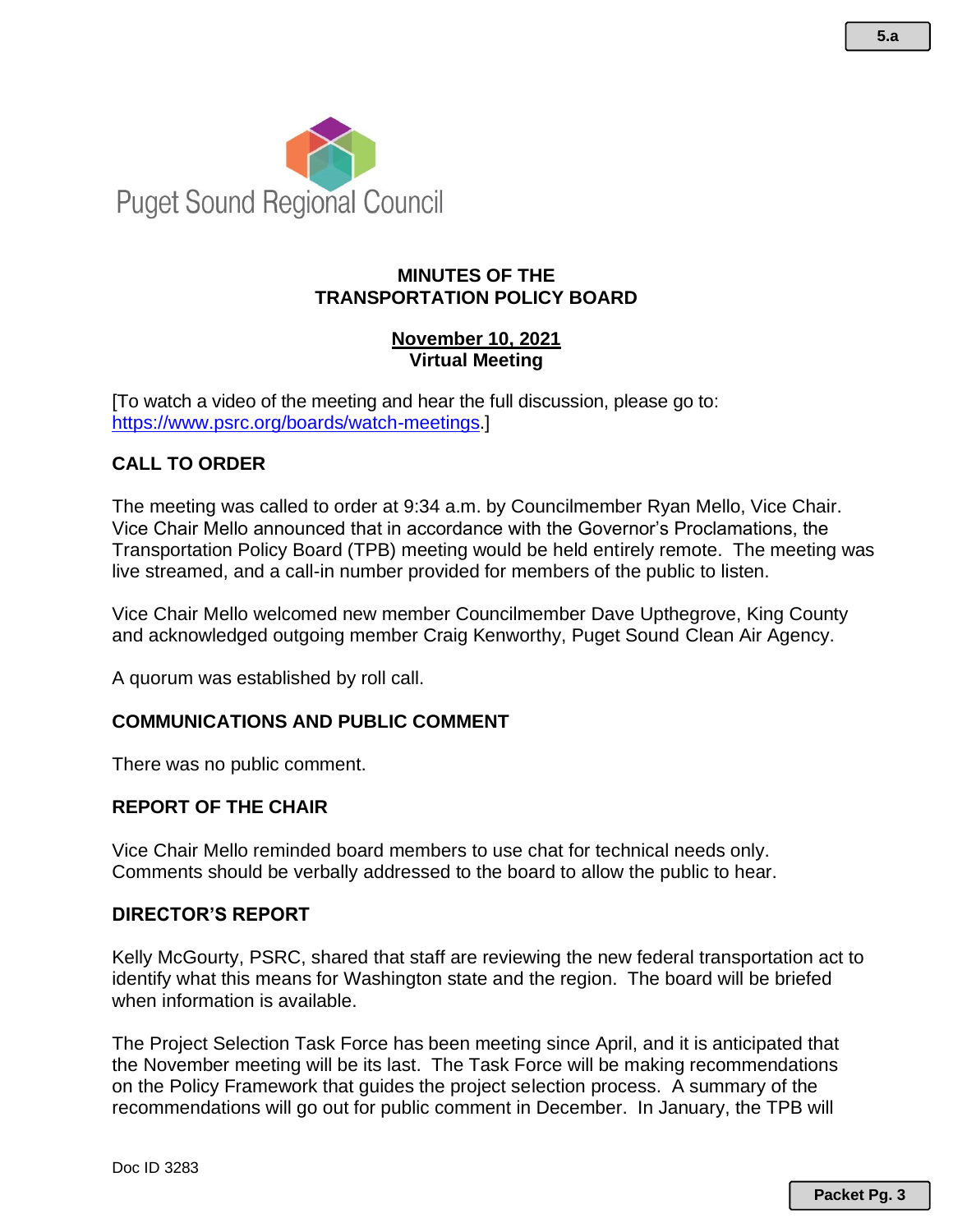

# **MINUTES OF THE TRANSPORTATION POLICY BOARD**

# **November 10, 2021 Virtual Meeting**

[To watch a video of the meeting and hear the full discussion, please go to: [https://www.psrc.org/boards/watch-meetings.](https://www.psrc.org/boards/watch-meetings)]

# **CALL TO ORDER**

The meeting was called to order at 9:34 a.m. by Councilmember Ryan Mello, Vice Chair. Vice Chair Mello announced that in accordance with the Governor's Proclamations, the Transportation Policy Board (TPB) meeting would be held entirely remote. The meeting was live streamed, and a call-in number provided for members of the public to listen.

Vice Chair Mello welcomed new member Councilmember Dave Upthegrove, King County and acknowledged outgoing member Craig Kenworthy, Puget Sound Clean Air Agency.

A quorum was established by roll call.

# **COMMUNICATIONS AND PUBLIC COMMENT**

There was no public comment.

# **REPORT OF THE CHAIR**

Vice Chair Mello reminded board members to use chat for technical needs only. Comments should be verbally addressed to the board to allow the public to hear.

#### **DIRECTOR'S REPORT**

Kelly McGourty, PSRC, shared that staff are reviewing the new federal transportation act to identify what this means for Washington state and the region. The board will be briefed when information is available.

The Project Selection Task Force has been meeting since April, and it is anticipated that the November meeting will be its last. The Task Force will be making recommendations on the Policy Framework that guides the project selection process. A summary of the recommendations will go out for public comment in December. In January, the TPB will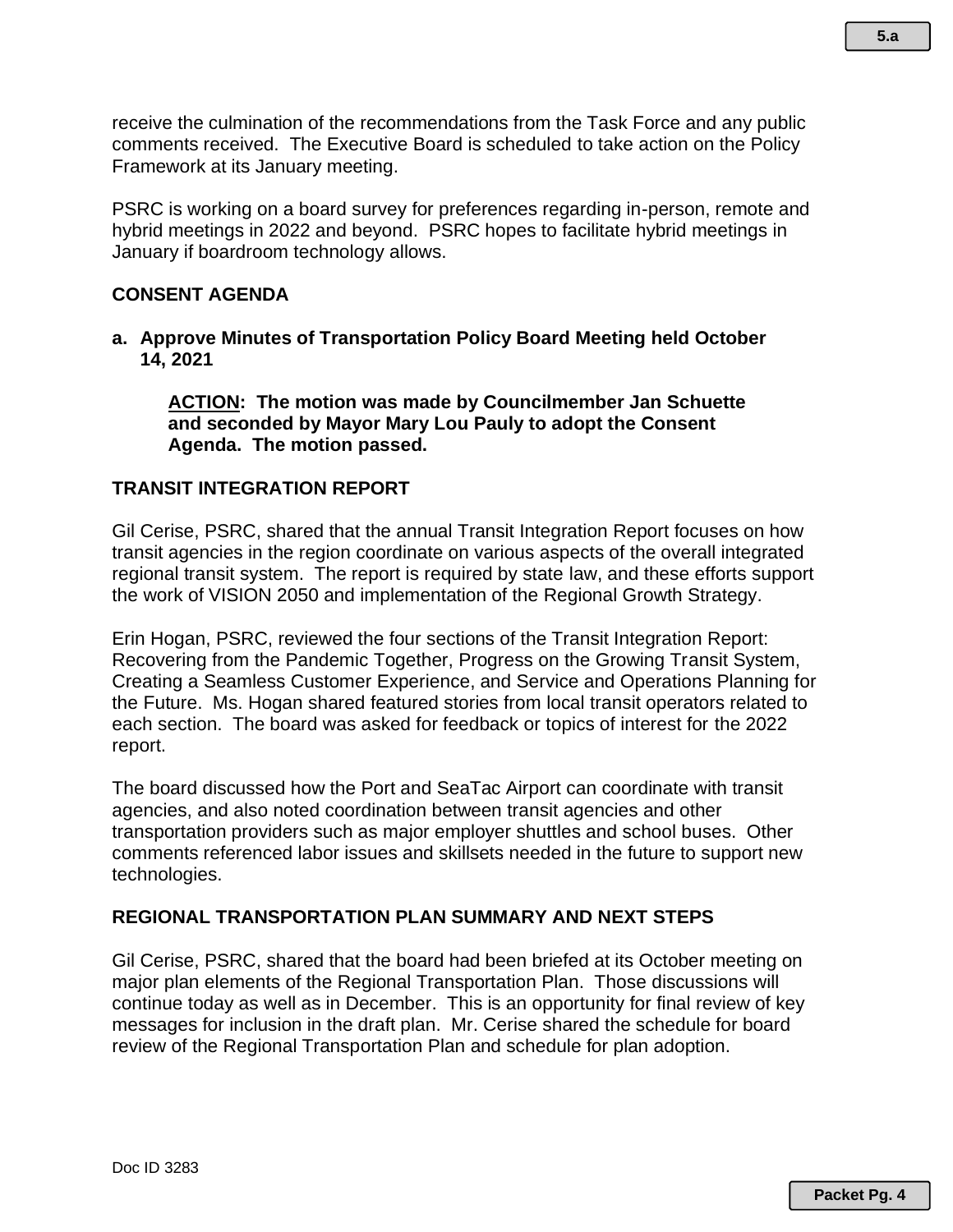receive the culmination of the recommendations from the Task Force and any public comments received. The Executive Board is scheduled to take action on the Policy Framework at its January meeting.

PSRC is working on a board survey for preferences regarding in-person, remote and hybrid meetings in 2022 and beyond. PSRC hopes to facilitate hybrid meetings in January if boardroom technology allows.

# **CONSENT AGENDA**

**a. Approve Minutes of Transportation Policy Board Meeting held October 14, 2021** 

**ACTION: The motion was made by Councilmember Jan Schuette and seconded by Mayor Mary Lou Pauly to adopt the Consent Agenda. The motion passed.** 

# **TRANSIT INTEGRATION REPORT**

Gil Cerise, PSRC, shared that the annual Transit Integration Report focuses on how transit agencies in the region coordinate on various aspects of the overall integrated regional transit system. The report is required by state law, and these efforts support the work of VISION 2050 and implementation of the Regional Growth Strategy.

Erin Hogan, PSRC, reviewed the four sections of the Transit Integration Report: Recovering from the Pandemic Together, Progress on the Growing Transit System, Creating a Seamless Customer Experience, and Service and Operations Planning for the Future. Ms. Hogan shared featured stories from local transit operators related to each section. The board was asked for feedback or topics of interest for the 2022 report.

The board discussed how the Port and SeaTac Airport can coordinate with transit agencies, and also noted coordination between transit agencies and other transportation providers such as major employer shuttles and school buses. Other comments referenced labor issues and skillsets needed in the future to support new technologies.

# **REGIONAL TRANSPORTATION PLAN SUMMARY AND NEXT STEPS**

Gil Cerise, PSRC, shared that the board had been briefed at its October meeting on major plan elements of the Regional Transportation Plan. Those discussions will continue today as well as in December. This is an opportunity for final review of key messages for inclusion in the draft plan. Mr. Cerise shared the schedule for board review of the Regional Transportation Plan and schedule for plan adoption.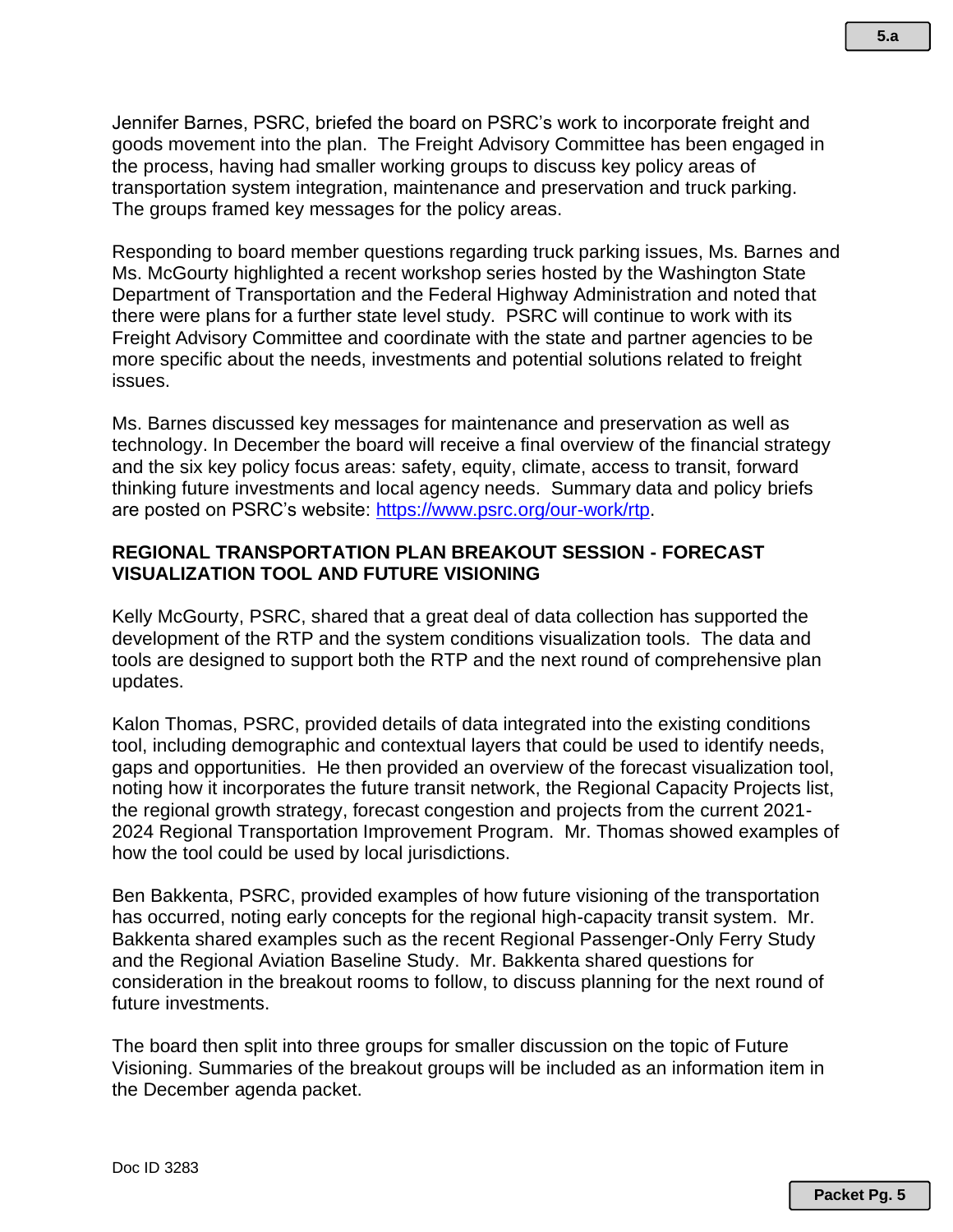Jennifer Barnes, PSRC, briefed the board on PSRC's work to incorporate freight and goods movement into the plan. The Freight Advisory Committee has been engaged in the process, having had smaller working groups to discuss key policy areas of transportation system integration, maintenance and preservation and truck parking. The groups framed key messages for the policy areas.

Responding to board member questions regarding truck parking issues, Ms. Barnes and Ms. McGourty highlighted a recent workshop series hosted by the Washington State Department of Transportation and the Federal Highway Administration and noted that there were plans for a further state level study. PSRC will continue to work with its Freight Advisory Committee and coordinate with the state and partner agencies to be more specific about the needs, investments and potential solutions related to freight issues.

Ms. Barnes discussed key messages for maintenance and preservation as well as technology. In December the board will receive a final overview of the financial strategy and the six key policy focus areas: safety, equity, climate, access to transit, forward thinking future investments and local agency needs. Summary data and policy briefs are posted on PSRC's website: [https://www.psrc.org/our-work/rtp.](https://www.psrc.org/our-work/rtp)

### **REGIONAL TRANSPORTATION PLAN BREAKOUT SESSION - FORECAST VISUALIZATION TOOL AND FUTURE VISIONING**

Kelly McGourty, PSRC, shared that a great deal of data collection has supported the development of the RTP and the system conditions visualization tools. The data and tools are designed to support both the RTP and the next round of comprehensive plan updates.

Kalon Thomas, PSRC, provided details of data integrated into the existing conditions tool, including demographic and contextual layers that could be used to identify needs, gaps and opportunities. He then provided an overview of the forecast visualization tool, noting how it incorporates the future transit network, the Regional Capacity Projects list, the regional growth strategy, forecast congestion and projects from the current 2021- 2024 Regional Transportation Improvement Program. Mr. Thomas showed examples of how the tool could be used by local jurisdictions.

Ben Bakkenta, PSRC, provided examples of how future visioning of the transportation has occurred, noting early concepts for the regional high-capacity transit system. Mr. Bakkenta shared examples such as the recent Regional Passenger-Only Ferry Study and the Regional Aviation Baseline Study. Mr. Bakkenta shared questions for consideration in the breakout rooms to follow, to discuss planning for the next round of future investments.

The board then split into three groups for smaller discussion on the topic of Future Visioning. Summaries of the breakout groups will be included as an information item in the December agenda packet.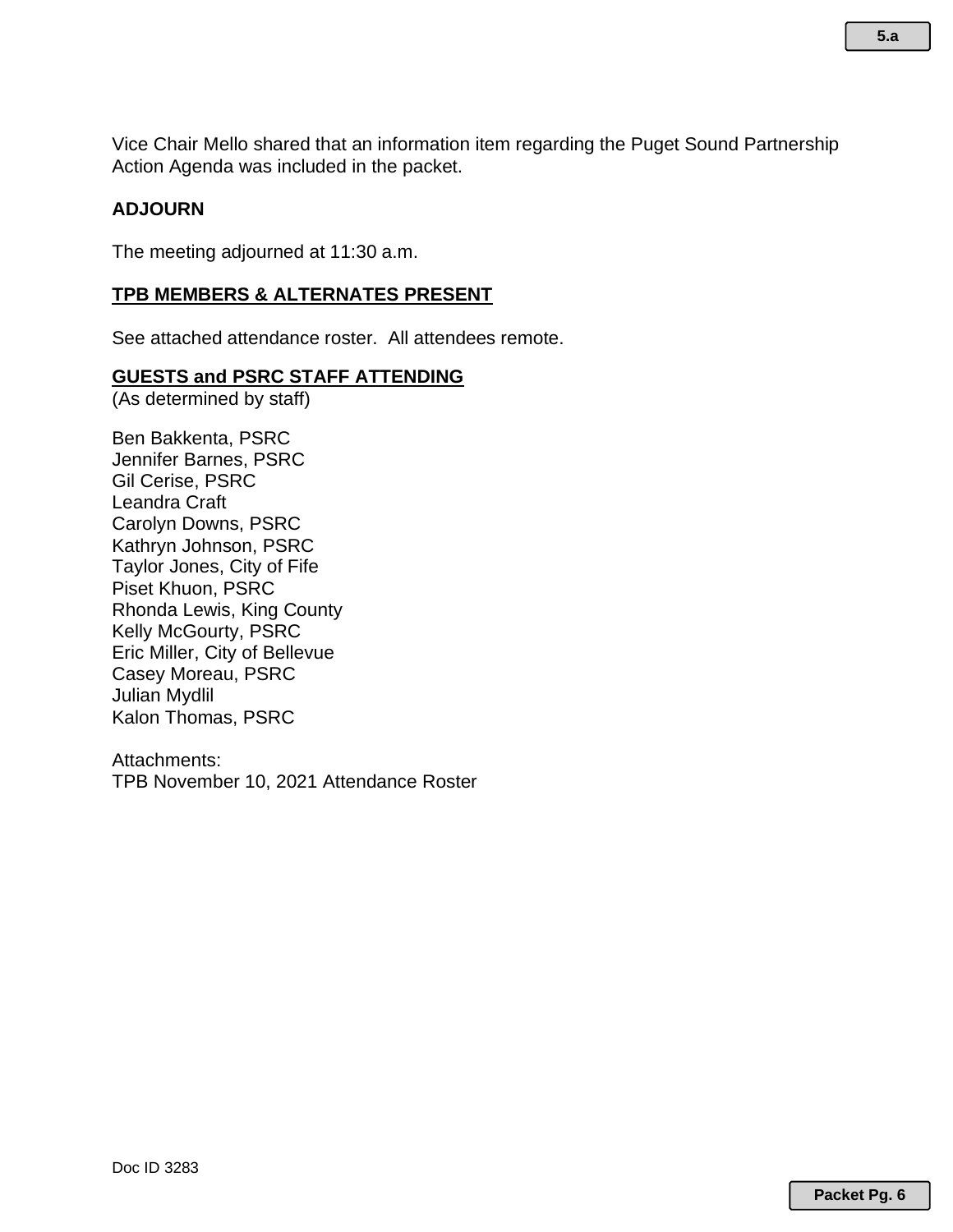Vice Chair Mello shared that an information item regarding the Puget Sound Partnership Action Agenda was included in the packet.

# **ADJOURN**

The meeting adjourned at 11:30 a.m.

# **TPB MEMBERS & ALTERNATES PRESENT**

See attached attendance roster. All attendees remote.

# **GUESTS and PSRC STAFF ATTENDING**

(As determined by staff)

Ben Bakkenta, PSRC Jennifer Barnes, PSRC Gil Cerise, PSRC Leandra Craft Carolyn Downs, PSRC Kathryn Johnson, PSRC Taylor Jones, City of Fife Piset Khuon, PSRC Rhonda Lewis, King County Kelly McGourty, PSRC Eric Miller, City of Bellevue Casey Moreau, PSRC Julian Mydlil Kalon Thomas, PSRC

Attachments: TPB November 10, 2021 Attendance Roster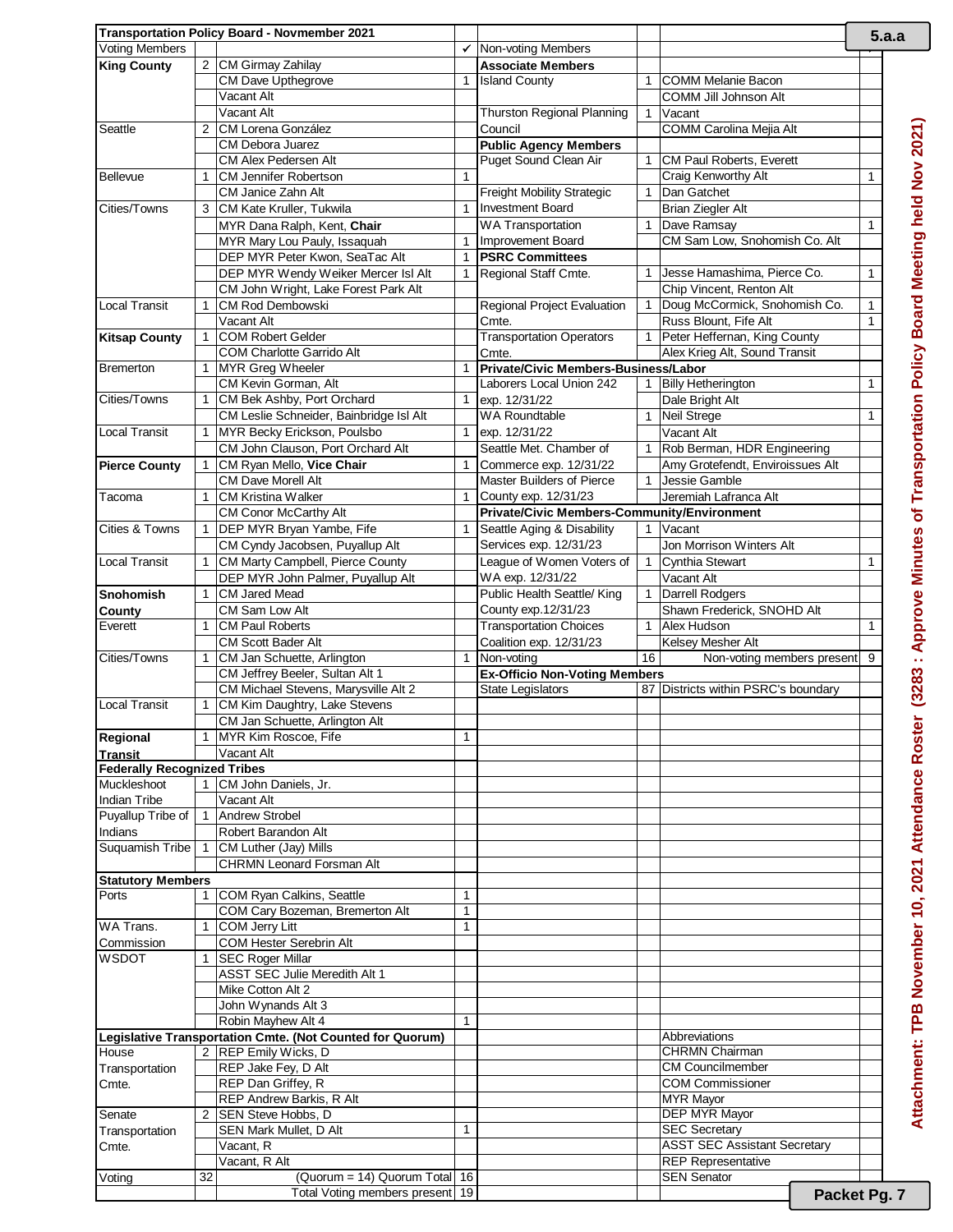|                                                      |    | Transportation Policy Board - Novmember 2021                           |              |                                                                  |              |                                                               |              | 5.a.a                                                                         |
|------------------------------------------------------|----|------------------------------------------------------------------------|--------------|------------------------------------------------------------------|--------------|---------------------------------------------------------------|--------------|-------------------------------------------------------------------------------|
| <b>Voting Members</b>                                |    |                                                                        | ✓            | Non-voting Members                                               |              |                                                               |              |                                                                               |
| <b>King County</b>                                   |    | 2 CM Girmay Zahilay                                                    |              | <b>Associate Members</b>                                         |              |                                                               |              |                                                                               |
|                                                      |    | CM Dave Upthegrove                                                     | $\mathbf{1}$ | <b>Island County</b>                                             | 1            | COMM Melanie Bacon                                            |              |                                                                               |
|                                                      |    | Vacant Alt                                                             |              |                                                                  |              | COMM Jill Johnson Alt                                         |              |                                                                               |
|                                                      |    | Vacant Alt                                                             |              | Thurston Regional Planning                                       | $\mathbf{1}$ | Vacant                                                        |              |                                                                               |
| Seattle                                              |    | 2 CM Lorena González                                                   |              | Council                                                          |              | COMM Carolina Mejia Alt                                       |              |                                                                               |
|                                                      |    | <b>CM Debora Juarez</b>                                                |              | <b>Public Agency Members</b>                                     |              |                                                               |              |                                                                               |
|                                                      |    | CM Alex Pedersen Alt                                                   |              | Puget Sound Clean Air                                            | 1            | CM Paul Roberts, Everett                                      |              |                                                                               |
| <b>Bellevue</b>                                      | 1  | <b>CM Jennifer Robertson</b>                                           | 1            |                                                                  |              | Craig Kenworthy Alt                                           | 1            |                                                                               |
|                                                      |    | <b>CM Janice Zahn Alt</b>                                              |              | Freight Mobility Strategic                                       | $\mathbf{1}$ | Dan Gatchet                                                   |              |                                                                               |
| Cities/Towns                                         |    | 3 CM Kate Kruller, Tukwila                                             | $\mathbf{1}$ | <b>Investment Board</b>                                          |              | <b>Brian Ziegler Alt</b>                                      |              |                                                                               |
|                                                      |    | MYR Dana Ralph, Kent, Chair                                            |              | <b>WA Transportation</b>                                         | $\mathbf{1}$ | Dave Ramsay                                                   | $\mathbf{1}$ |                                                                               |
|                                                      |    | MYR Mary Lou Pauly, Issaquah                                           | $\mathbf{1}$ | Improvement Board                                                |              | CM Sam Low, Snohomish Co. Alt                                 |              |                                                                               |
|                                                      |    | DEP MYR Peter Kwon, SeaTac Alt                                         | $\mathbf{1}$ | <b>PSRC Committees</b>                                           |              |                                                               |              |                                                                               |
|                                                      |    | DEP MYR Wendy Weiker Mercer Isl Alt                                    | $\mathbf{1}$ | Regional Staff Cmte.                                             | 1            | Jesse Hamashima, Pierce Co.                                   | 1            |                                                                               |
|                                                      |    | CM John Wright, Lake Forest Park Alt                                   |              |                                                                  |              | Chip Vincent, Renton Alt                                      |              |                                                                               |
| <b>Local Transit</b>                                 | 1  | CM Rod Dembowski                                                       |              | Regional Project Evaluation                                      | $\mathbf 1$  | Doug McCormick, Snohomish Co.                                 | $\mathbf{1}$ |                                                                               |
|                                                      |    | Vacant Alt                                                             |              | Cmte.                                                            |              | Russ Blount, Fife Alt                                         | $\mathbf{1}$ |                                                                               |
| <b>Kitsap County</b>                                 | 1  | COM Robert Gelder                                                      |              | <b>Transportation Operators</b>                                  | 1            | Peter Heffernan, King County<br>Alex Krieg Alt, Sound Transit |              |                                                                               |
|                                                      |    | <b>COM Charlotte Garrido Alt</b>                                       |              | Cmte.                                                            |              |                                                               |              |                                                                               |
| <b>Bremerton</b>                                     | 1  | MYR Greg Wheeler<br>CM Kevin Gorman, Alt                               | $\mathbf{1}$ | Private/Civic Members-Business/Labor<br>Laborers Local Union 242 |              | <b>Billy Hetherington</b>                                     |              |                                                                               |
| Cities/Towns                                         |    | CM Bek Ashby, Port Orchard                                             | $\mathbf{1}$ | exp. 12/31/22                                                    | 1            | Dale Bright Alt                                               | $\mathbf{1}$ |                                                                               |
|                                                      | 1  |                                                                        |              |                                                                  |              |                                                               |              |                                                                               |
| <b>Local Transit</b>                                 |    | CM Leslie Schneider, Bainbridge Isl Alt<br>MYR Becky Erickson, Poulsbo | $\mathbf{1}$ | <b>WA Roundtable</b><br>exp. 12/31/22                            | $\mathbf{1}$ | Neil Strege                                                   | $\mathbf{1}$ | (3283 : Approve Minutes of Transportation Policy Board Meeting held Nov 2021) |
|                                                      |    |                                                                        |              |                                                                  |              | Vacant Alt                                                    |              |                                                                               |
|                                                      |    | CM John Clauson, Port Orchard Alt                                      |              | Seattle Met. Chamber of                                          | 1            | Rob Berman, HDR Engineering                                   |              |                                                                               |
| <b>Pierce County</b>                                 |    | CM Ryan Mello, Vice Chair                                              | 1            | Commerce exp. 12/31/22                                           |              | Amy Grotefendt, Enviroissues Alt                              |              |                                                                               |
|                                                      |    | <b>CM Dave Morell Alt</b>                                              |              | <b>Master Builders of Pierce</b>                                 | $\mathbf{1}$ | Jessie Gamble                                                 |              |                                                                               |
| Tacoma                                               |    | <b>CM Kristina Walker</b>                                              | 1            | County exp. 12/31/23                                             |              | Jeremiah Lafranca Alt                                         |              |                                                                               |
|                                                      |    | CM Conor McCarthy Alt                                                  |              | Private/Civic Members-Community/Environment                      |              |                                                               |              |                                                                               |
| Cities & Towns                                       |    | DEP MYR Bryan Yambe, Fife                                              | $\mathbf{1}$ | Seattle Aging & Disability                                       |              | 1 Vacant                                                      |              |                                                                               |
|                                                      |    | CM Cyndy Jacobsen, Puyallup Alt                                        |              | Services exp. 12/31/23                                           |              | Jon Morrison Winters Alt                                      |              |                                                                               |
| <b>Local Transit</b>                                 |    | CM Marty Campbell, Pierce County                                       |              | League of Women Voters of                                        | $\mathbf{1}$ | Cynthia Stewart                                               | $\mathbf{1}$ |                                                                               |
|                                                      |    | DEP MYR John Palmer, Puyallup Alt                                      |              | WA exp. 12/31/22                                                 |              | Vacant Alt                                                    |              |                                                                               |
| <b>Snohomish</b>                                     |    | <b>CM Jared Mead</b>                                                   |              | Public Health Seattle/ King                                      | $\mathbf 1$  | <b>Darrell Rodgers</b>                                        |              |                                                                               |
| <b>County</b>                                        |    | CM Sam Low Alt                                                         |              | County exp.12/31/23                                              |              | Shawn Frederick, SNOHD Alt                                    |              |                                                                               |
| Everett                                              | 1  | <b>CM Paul Roberts</b>                                                 |              | <b>Transportation Choices</b>                                    | $\mathbf{1}$ | Alex Hudson                                                   | $\mathbf{1}$ |                                                                               |
|                                                      |    | <b>CM Scott Bader Alt</b>                                              |              | Coalition exp. 12/31/23                                          |              | Kelsey Mesher Alt                                             |              |                                                                               |
| Cities/Towns                                         | 1  | CM Jan Schuette, Arlington                                             | $\mathbf{1}$ | Non-voting                                                       | 16           | Non-voting members present 9                                  |              |                                                                               |
|                                                      |    | CM Jeffrey Beeler, Sultan Alt 1                                        |              | <b>Ex-Officio Non-Voting Members</b>                             |              |                                                               |              |                                                                               |
| <b>Local Transit</b>                                 |    | CM Michael Stevens, Marysville Alt 2                                   |              | State Legislators                                                |              | 87 Districts within PSRC's boundary                           |              |                                                                               |
|                                                      | 1  | CM Kim Daughtry, Lake Stevens                                          |              |                                                                  |              |                                                               |              |                                                                               |
|                                                      |    | CM Jan Schuette, Arlington Alt<br>MYR Kim Roscoe, Fife                 | 1            |                                                                  |              |                                                               |              |                                                                               |
| Regional                                             |    | Vacant Alt                                                             |              |                                                                  |              |                                                               |              |                                                                               |
| <b>Transit</b><br><b>Federally Recognized Tribes</b> |    |                                                                        |              |                                                                  |              |                                                               |              |                                                                               |
| Muckleshoot                                          |    | 1 CM John Daniels, Jr.                                                 |              |                                                                  |              |                                                               |              |                                                                               |
| <b>Indian Tribe</b>                                  |    | Vacant Alt                                                             |              |                                                                  |              |                                                               |              |                                                                               |
| Puyallup Tribe of                                    |    | 1 Andrew Strobel                                                       |              |                                                                  |              |                                                               |              |                                                                               |
| Indians                                              |    | Robert Barandon Alt                                                    |              |                                                                  |              |                                                               |              |                                                                               |
| Suquamish Tribe                                      | -1 | CM Luther (Jay) Mills                                                  |              |                                                                  |              |                                                               |              |                                                                               |
|                                                      |    | <b>CHRMN Leonard Forsman Alt</b>                                       |              |                                                                  |              |                                                               |              |                                                                               |
| <b>Statutory Members</b>                             |    |                                                                        |              |                                                                  |              |                                                               |              |                                                                               |
| Ports                                                | 1  | COM Ryan Calkins, Seattle                                              | 1            |                                                                  |              |                                                               |              |                                                                               |
|                                                      |    | COM Cary Bozeman, Bremerton Alt                                        | $\mathbf{1}$ |                                                                  |              |                                                               |              |                                                                               |
| WA Trans.                                            |    | COM Jerry Litt                                                         | 1            |                                                                  |              |                                                               |              |                                                                               |
| Commission                                           |    | COM Hester Serebrin Alt                                                |              |                                                                  |              |                                                               |              |                                                                               |
| <b>WSDOT</b>                                         |    | <b>SEC Roger Millar</b>                                                |              |                                                                  |              |                                                               |              |                                                                               |
|                                                      |    | ASST SEC Julie Meredith Alt 1                                          |              |                                                                  |              |                                                               |              |                                                                               |
|                                                      |    | Mike Cotton Alt 2                                                      |              |                                                                  |              |                                                               |              |                                                                               |
|                                                      |    | John Wynands Alt 3                                                     |              |                                                                  |              |                                                               |              |                                                                               |
|                                                      |    | Robin Mayhew Alt 4                                                     |              |                                                                  |              |                                                               |              |                                                                               |
|                                                      |    | Legislative Transportation Cmte. (Not Counted for Quorum)              |              |                                                                  |              | Abbreviations                                                 |              | Attachment: TPB November 10, 2021 Attendance Roster                           |
| House                                                |    | 2 REP Emily Wicks, D                                                   |              |                                                                  |              | <b>CHRMN Chairman</b>                                         |              |                                                                               |
| Transportation                                       |    | REP Jake Fey, D Alt                                                    |              |                                                                  |              | <b>CM Councilmember</b>                                       |              |                                                                               |
| Cmte.                                                |    | REP Dan Griffey, R                                                     |              |                                                                  |              | <b>COM Commissioner</b>                                       |              |                                                                               |
|                                                      |    | REP Andrew Barkis, R Alt                                               |              |                                                                  |              | <b>MYR Mayor</b>                                              |              |                                                                               |
| Senate                                               |    | 2 SEN Steve Hobbs, D                                                   |              |                                                                  |              | <b>DEP MYR Mayor</b>                                          |              |                                                                               |
| Transportation                                       |    | SEN Mark Mullet, D Alt                                                 | 1            |                                                                  |              | <b>SEC Secretary</b>                                          |              |                                                                               |
| Cmte.                                                |    | Vacant, R                                                              |              |                                                                  |              | <b>ASST SEC Assistant Secretary</b>                           |              |                                                                               |
|                                                      |    | Vacant, R Alt                                                          |              |                                                                  |              | <b>REP Representative</b>                                     |              |                                                                               |
| Voting                                               | 32 | (Quorum = 14) Quorum Total 16                                          |              |                                                                  |              | <b>SEN Senator</b>                                            |              |                                                                               |
|                                                      |    | Total Voting members present 19                                        |              |                                                                  |              | Packet Pg. 7                                                  |              |                                                                               |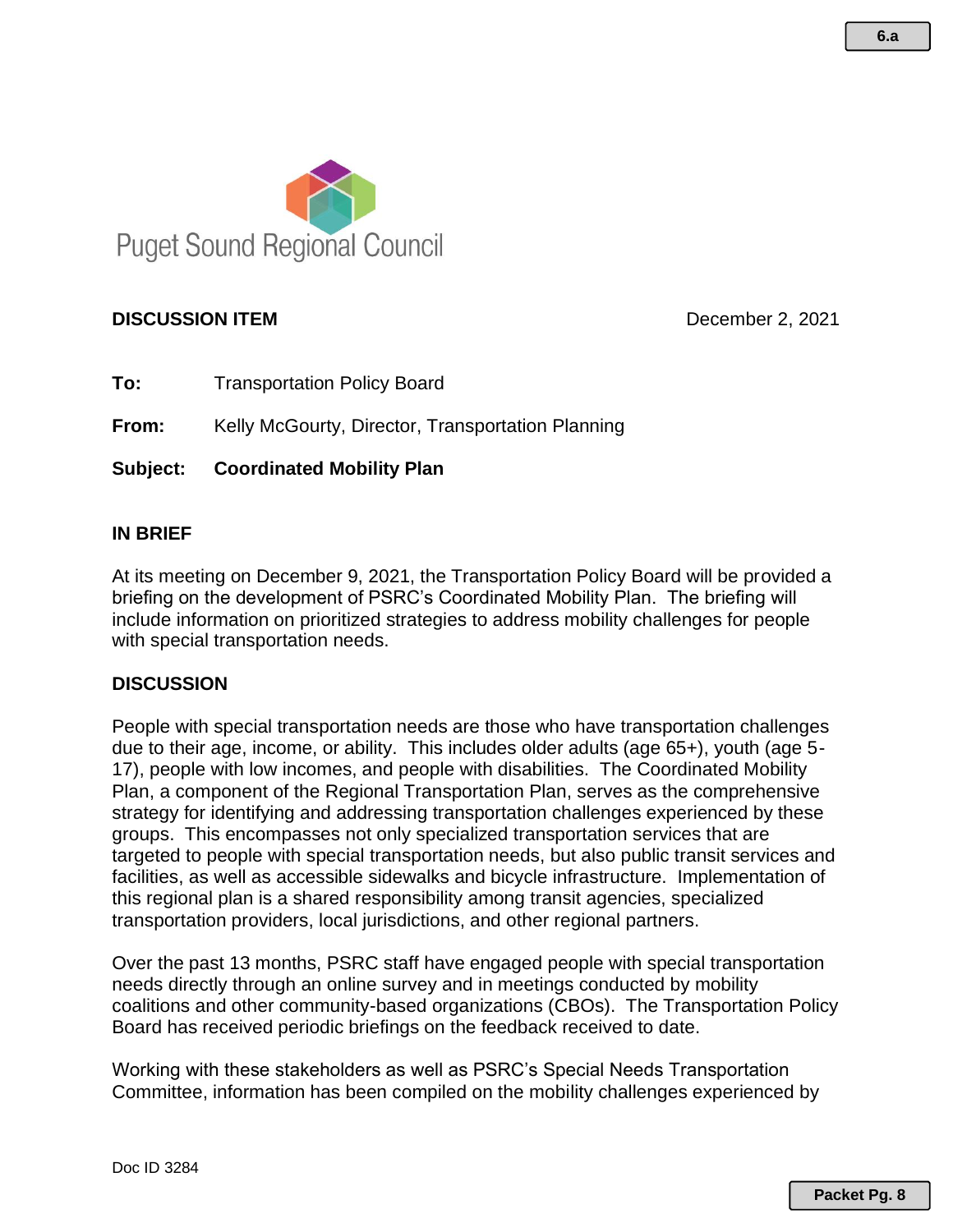

# **DISCUSSION ITEM DISCUSSION ITEM DECEMBER 2, 2021**

**To:** Transportation Policy Board

**From:** Kelly McGourty, Director, Transportation Planning

**Subject: Coordinated Mobility Plan**

### **IN BRIEF**

At its meeting on December 9, 2021, the Transportation Policy Board will be provided a briefing on the development of PSRC's Coordinated Mobility Plan. The briefing will include information on prioritized strategies to address mobility challenges for people with special transportation needs.

#### **DISCUSSION**

People with special transportation needs are those who have transportation challenges due to their age, income, or ability. This includes older adults (age 65+), youth (age 5- 17), people with low incomes, and people with disabilities. The Coordinated Mobility Plan, a component of the Regional Transportation Plan, serves as the comprehensive strategy for identifying and addressing transportation challenges experienced by these groups. This encompasses not only specialized transportation services that are targeted to people with special transportation needs, but also public transit services and facilities, as well as accessible sidewalks and bicycle infrastructure. Implementation of this regional plan is a shared responsibility among transit agencies, specialized transportation providers, local jurisdictions, and other regional partners.

Over the past 13 months, PSRC staff have engaged people with special transportation needs directly through an online survey and in meetings conducted by mobility coalitions and other community-based organizations (CBOs). The Transportation Policy Board has received periodic briefings on the feedback received to date.

Working with these stakeholders as well as PSRC's Special Needs Transportation Committee, information has been compiled on the mobility challenges experienced by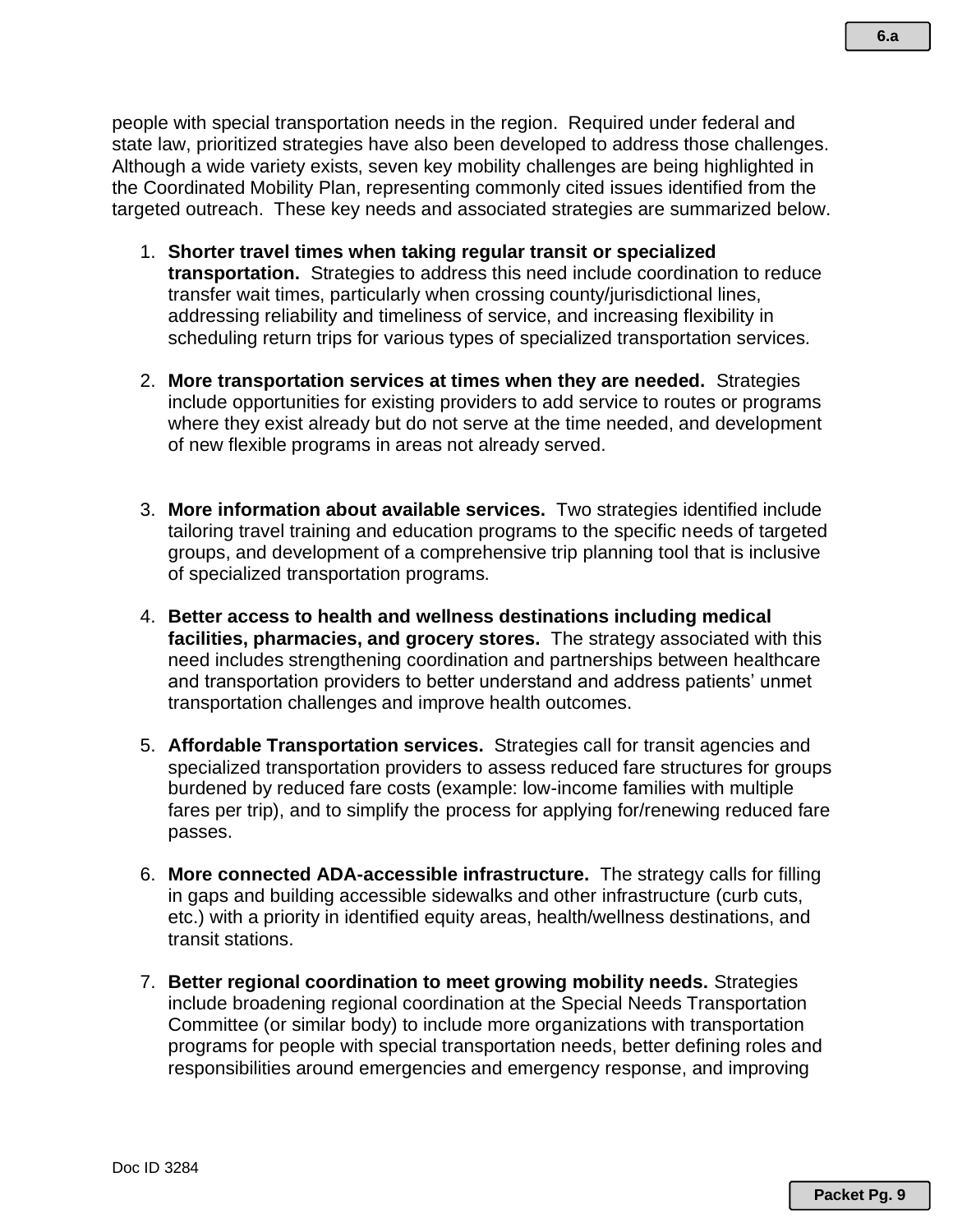people with special transportation needs in the region. Required under federal and state law, prioritized strategies have also been developed to address those challenges. Although a wide variety exists, seven key mobility challenges are being highlighted in the Coordinated Mobility Plan, representing commonly cited issues identified from the targeted outreach. These key needs and associated strategies are summarized below.

- 1. **Shorter travel times when taking regular transit or specialized transportation.** Strategies to address this need include coordination to reduce transfer wait times, particularly when crossing county/jurisdictional lines, addressing reliability and timeliness of service, and increasing flexibility in scheduling return trips for various types of specialized transportation services.
- 2. **More transportation services at times when they are needed.** Strategies include opportunities for existing providers to add service to routes or programs where they exist already but do not serve at the time needed, and development of new flexible programs in areas not already served.
- 3. **More information about available services.** Two strategies identified include tailoring travel training and education programs to the specific needs of targeted groups, and development of a comprehensive trip planning tool that is inclusive of specialized transportation programs.
- 4. **Better access to health and wellness destinations including medical facilities, pharmacies, and grocery stores.** The strategy associated with this need includes strengthening coordination and partnerships between healthcare and transportation providers to better understand and address patients' unmet transportation challenges and improve health outcomes.
- 5. **Affordable Transportation services.** Strategies call for transit agencies and specialized transportation providers to assess reduced fare structures for groups burdened by reduced fare costs (example: low-income families with multiple fares per trip), and to simplify the process for applying for/renewing reduced fare passes.
- 6. **More connected ADA-accessible infrastructure.** The strategy calls for filling in gaps and building accessible sidewalks and other infrastructure (curb cuts, etc.) with a priority in identified equity areas, health/wellness destinations, and transit stations.
- 7. **Better regional coordination to meet growing mobility needs.** Strategies include broadening regional coordination at the Special Needs Transportation Committee (or similar body) to include more organizations with transportation programs for people with special transportation needs, better defining roles and responsibilities around emergencies and emergency response, and improving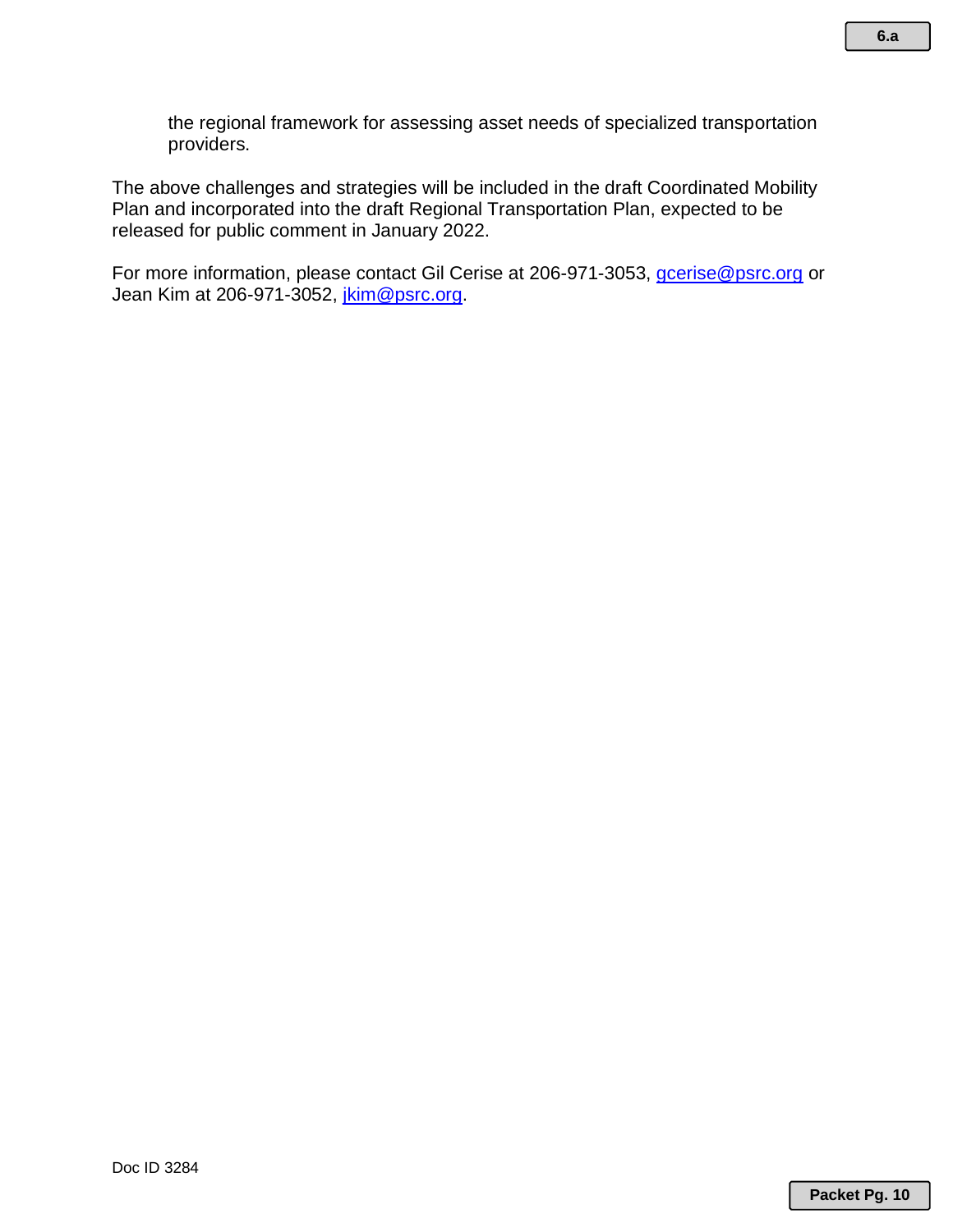the regional framework for assessing asset needs of specialized transportation providers.

The above challenges and strategies will be included in the draft Coordinated Mobility Plan and incorporated into the draft Regional Transportation Plan, expected to be released for public comment in January 2022.

For more information, please contact Gil Cerise at 206-971-3053, *gcerise@psrc.org* or Jean Kim at 206-971-3052, *jkim@psrc.org.*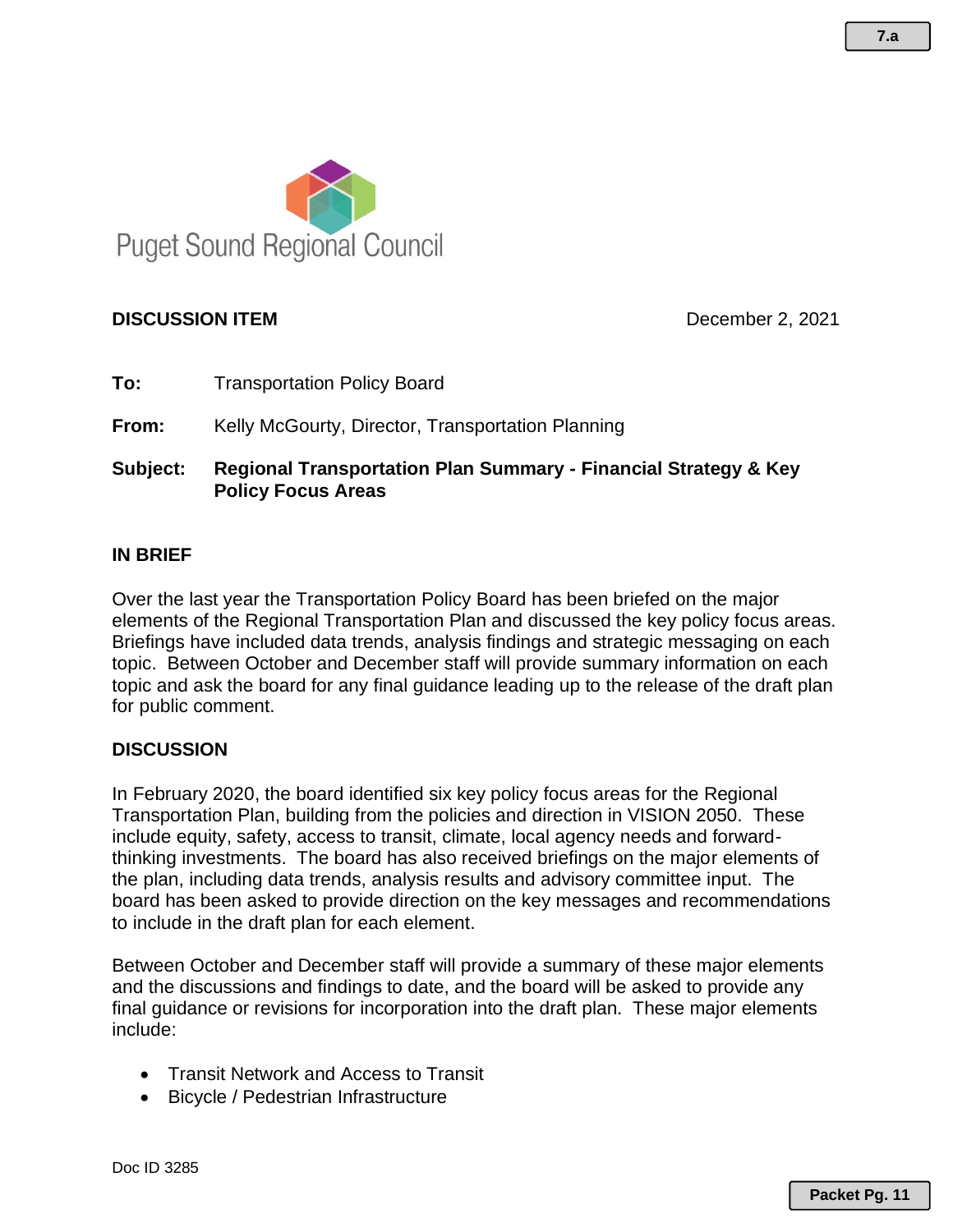

# **DISCUSSION ITEM** December 2, 2021

**To:** Transportation Policy Board

**From:** Kelly McGourty, Director, Transportation Planning

**Subject: Regional Transportation Plan Summary - Financial Strategy & Key Policy Focus Areas**

### **IN BRIEF**

Over the last year the Transportation Policy Board has been briefed on the major elements of the Regional Transportation Plan and discussed the key policy focus areas. Briefings have included data trends, analysis findings and strategic messaging on each topic. Between October and December staff will provide summary information on each topic and ask the board for any final guidance leading up to the release of the draft plan for public comment.

#### **DISCUSSION**

In February 2020, the board identified six key policy focus areas for the Regional Transportation Plan, building from the policies and direction in VISION 2050. These include equity, safety, access to transit, climate, local agency needs and forwardthinking investments. The board has also received briefings on the major elements of the plan, including data trends, analysis results and advisory committee input. The board has been asked to provide direction on the key messages and recommendations to include in the draft plan for each element.

Between October and December staff will provide a summary of these major elements and the discussions and findings to date, and the board will be asked to provide any final guidance or revisions for incorporation into the draft plan. These major elements include:

- Transit Network and Access to Transit
- Bicycle / Pedestrian Infrastructure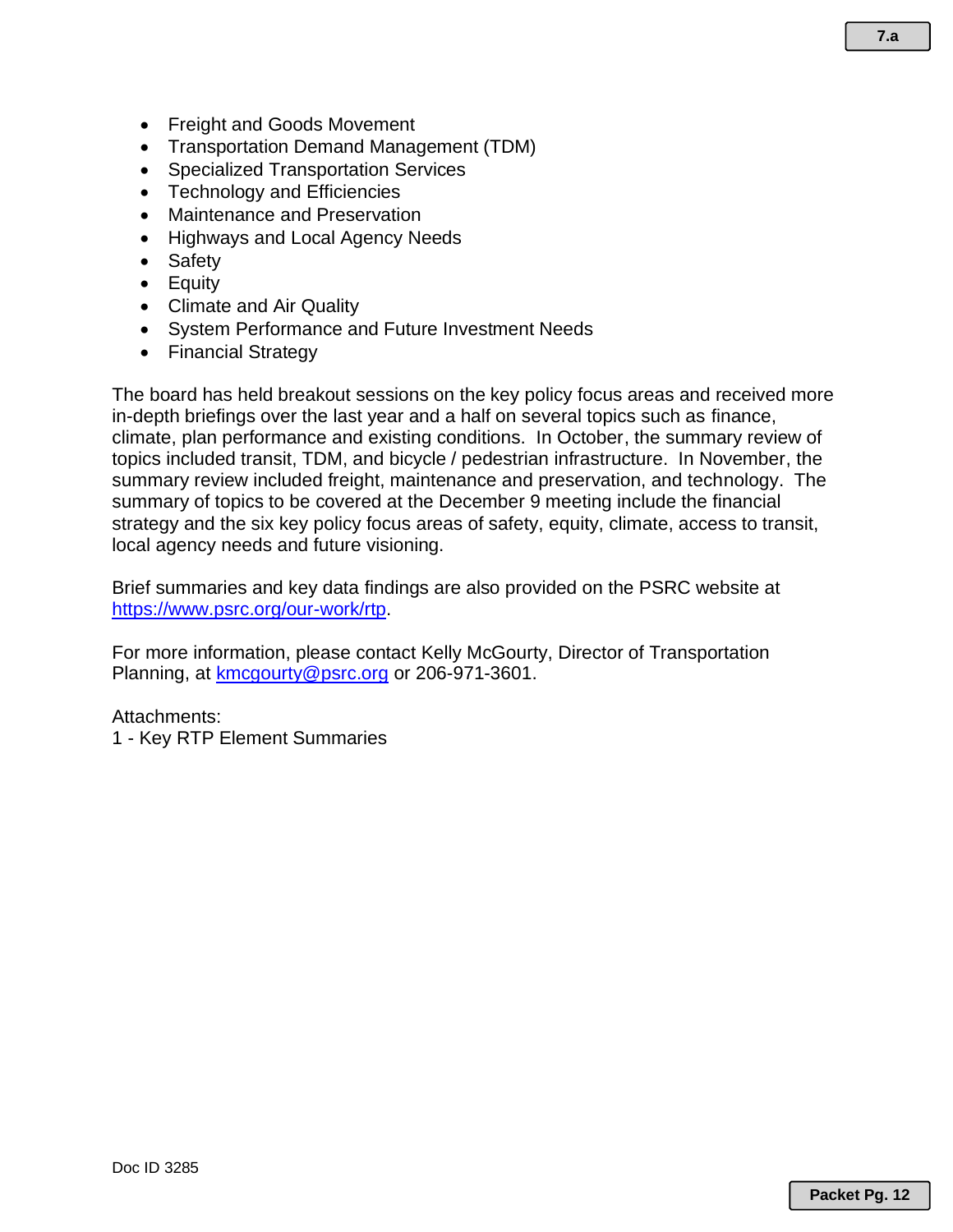- Freight and Goods Movement
- Transportation Demand Management (TDM)
- Specialized Transportation Services
- Technology and Efficiencies
- Maintenance and Preservation
- Highways and Local Agency Needs
- Safety
- Equity
- Climate and Air Quality
- System Performance and Future Investment Needs
- Financial Strategy

The board has held breakout sessions on the key policy focus areas and received more in-depth briefings over the last year and a half on several topics such as finance, climate, plan performance and existing conditions. In October, the summary review of topics included transit, TDM, and bicycle / pedestrian infrastructure. In November, the summary review included freight, maintenance and preservation, and technology. The summary of topics to be covered at the December 9 meeting include the financial strategy and the six key policy focus areas of safety, equity, climate, access to transit, local agency needs and future visioning.

Brief summaries and key data findings are also provided on the PSRC website at [https://www.psrc.org/our-work/rtp.](https://www.psrc.org/our-work/rtp)

For more information, please contact Kelly McGourty, Director of Transportation Planning, at [kmcgourty@psrc.org](mailto:kmcgourty@psrc.org) or 206-971-3601.

#### Attachments:

1 - Key RTP Element Summaries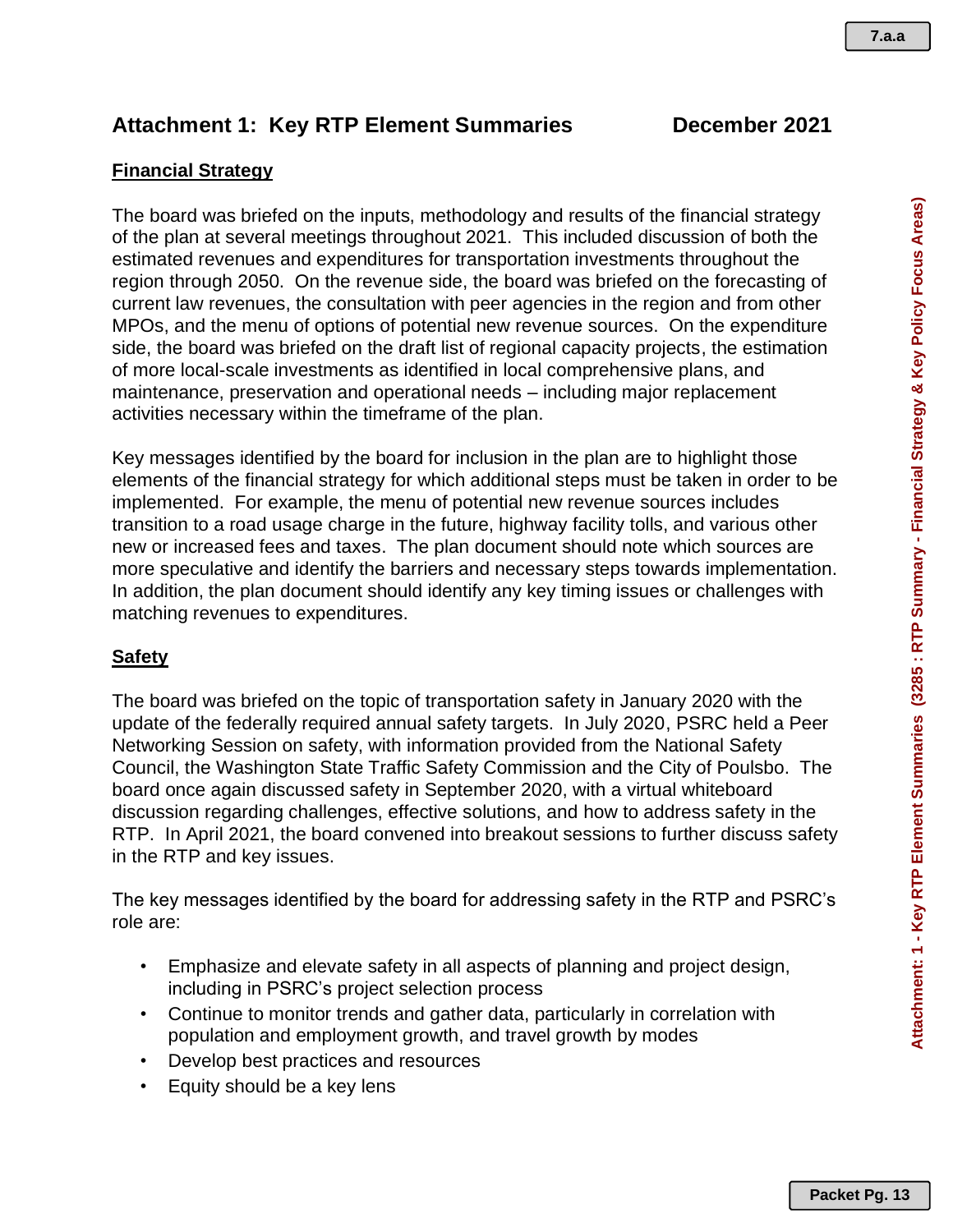Attachment: 1 - Key RTP Element Summaries (3285 : RTP Summary - Financial Strategy & Key Policy Focus Areas) **Attachment: 1 - Key RTP Element Summaries (3285 : RTP Summary - Financial Strategy & Key Policy Focus Areas)**

# **Attachment 1: Key RTP Element Summaries December 2021**

# **Financial Strategy**

The board was briefed on the inputs, methodology and results of the financial strategy of the plan at several meetings throughout 2021. This included discussion of both the estimated revenues and expenditures for transportation investments throughout the region through 2050. On the revenue side, the board was briefed on the forecasting of current law revenues, the consultation with peer agencies in the region and from other MPOs, and the menu of options of potential new revenue sources. On the expenditure side, the board was briefed on the draft list of regional capacity projects, the estimation of more local-scale investments as identified in local comprehensive plans, and maintenance, preservation and operational needs – including major replacement activities necessary within the timeframe of the plan.

Key messages identified by the board for inclusion in the plan are to highlight those elements of the financial strategy for which additional steps must be taken in order to be implemented. For example, the menu of potential new revenue sources includes transition to a road usage charge in the future, highway facility tolls, and various other new or increased fees and taxes. The plan document should note which sources are more speculative and identify the barriers and necessary steps towards implementation. In addition, the plan document should identify any key timing issues or challenges with matching revenues to expenditures.

# **Safety**

The board was briefed on the topic of transportation safety in January 2020 with the update of the federally required annual safety targets. In July 2020, PSRC held a Peer Networking Session on safety, with information provided from the National Safety Council, the Washington State Traffic Safety Commission and the City of Poulsbo. The board once again discussed safety in September 2020, with a virtual whiteboard discussion regarding challenges, effective solutions, and how to address safety in the RTP. In April 2021, the board convened into breakout sessions to further discuss safety in the RTP and key issues.

The key messages identified by the board for addressing safety in the RTP and PSRC's role are:

- Emphasize and elevate safety in all aspects of planning and project design, including in PSRC's project selection process
- Continue to monitor trends and gather data, particularly in correlation with population and employment growth, and travel growth by modes
- Develop best practices and resources
- Equity should be a key lens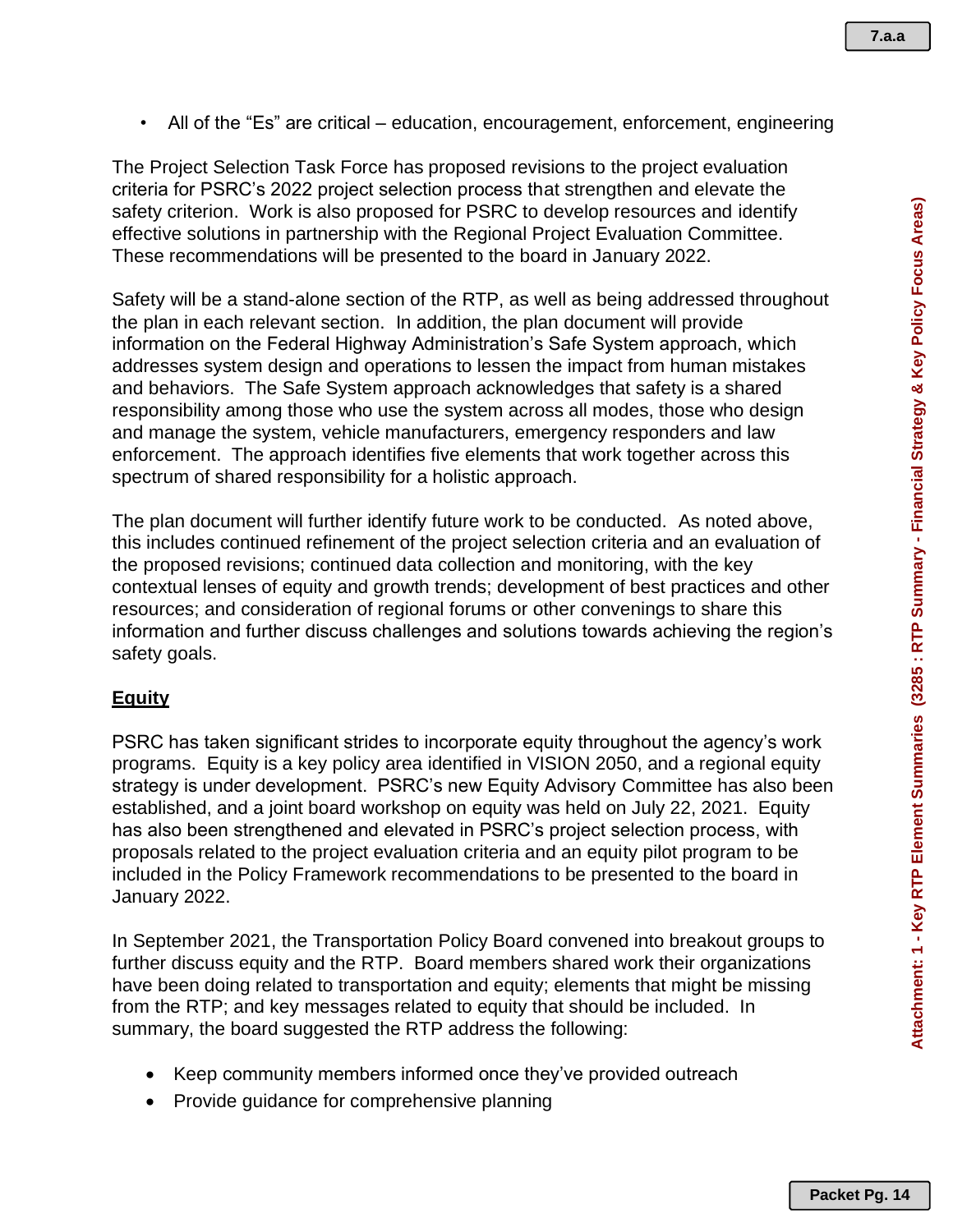**7.a.a**

• All of the "Es" are critical – education, encouragement, enforcement, engineering

The Project Selection Task Force has proposed revisions to the project evaluation criteria for PSRC's 2022 project selection process that strengthen and elevate the safety criterion. Work is also proposed for PSRC to develop resources and identify effective solutions in partnership with the Regional Project Evaluation Committee. These recommendations will be presented to the board in January 2022.

Safety will be a stand-alone section of the RTP, as well as being addressed throughout the plan in each relevant section. In addition, the plan document will provide information on the Federal Highway Administration's Safe System approach, which addresses system design and operations to lessen the impact from human mistakes and behaviors. The Safe System approach acknowledges that safety is a shared responsibility among those who use the system across all modes, those who design and manage the system, vehicle manufacturers, emergency responders and law enforcement. The approach identifies five elements that work together across this spectrum of shared responsibility for a holistic approach.

The plan document will further identify future work to be conducted. As noted above, this includes continued refinement of the project selection criteria and an evaluation of the proposed revisions; continued data collection and monitoring, with the key contextual lenses of equity and growth trends; development of best practices and other resources; and consideration of regional forums or other convenings to share this information and further discuss challenges and solutions towards achieving the region's safety goals.

#### **Equity**

PSRC has taken significant strides to incorporate equity throughout the agency's work programs. Equity is a key policy area identified in VISION 2050, and a regional equity strategy is under development. PSRC's new Equity Advisory Committee has also been established, and a joint board workshop on equity was held on July 22, 2021. Equity has also been strengthened and elevated in PSRC's project selection process, with proposals related to the project evaluation criteria and an equity pilot program to be included in the Policy Framework recommendations to be presented to the board in January 2022.

In September 2021, the Transportation Policy Board convened into breakout groups to further discuss equity and the RTP. Board members shared work their organizations have been doing related to transportation and equity; elements that might be missing from the RTP; and key messages related to equity that should be included. In summary, the board suggested the RTP address the following:

- Keep community members informed once they've provided outreach
- Provide guidance for comprehensive planning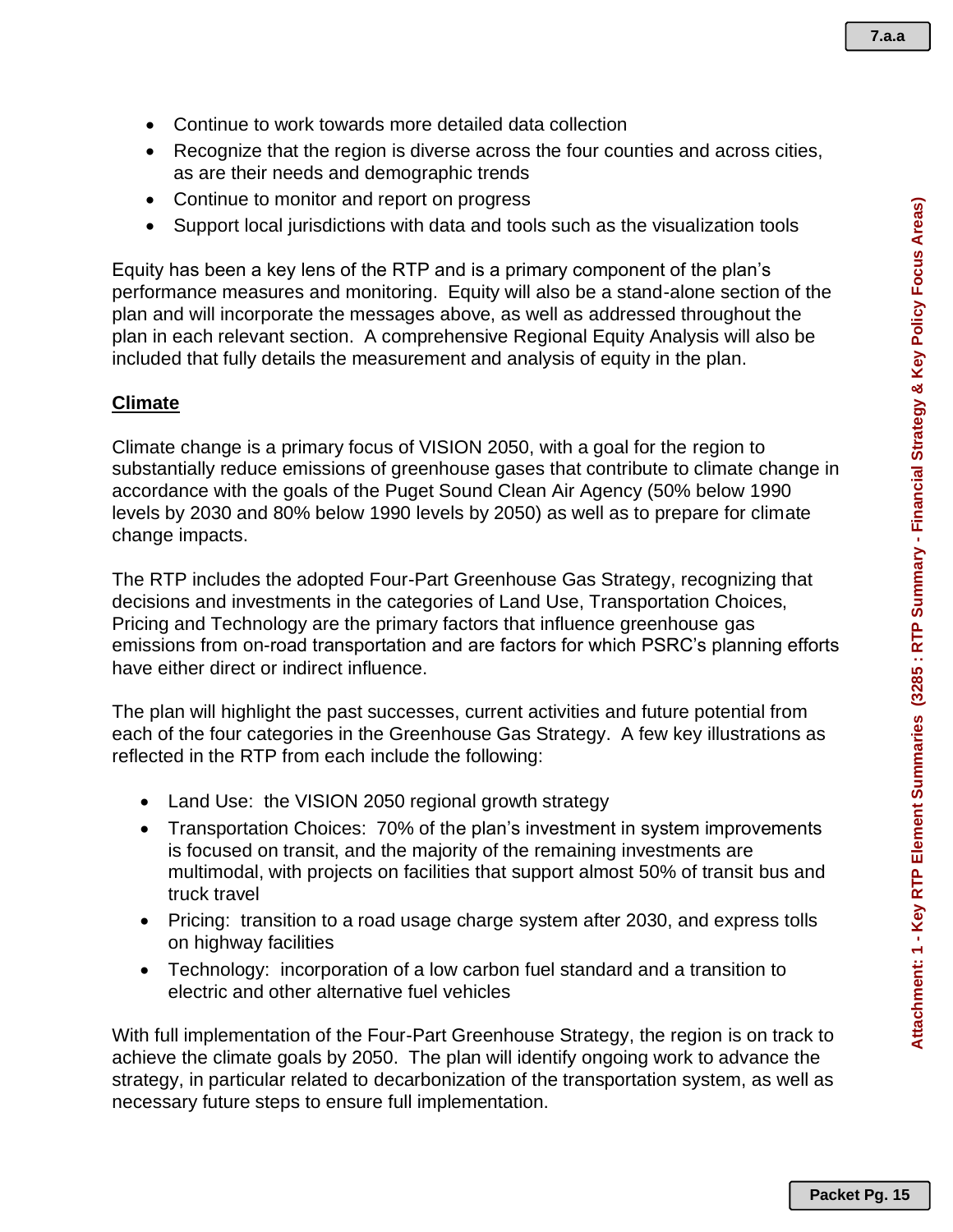- Continue to work towards more detailed data collection
- Recognize that the region is diverse across the four counties and across cities, as are their needs and demographic trends
- Continue to monitor and report on progress
- Support local jurisdictions with data and tools such as the visualization tools

Equity has been a key lens of the RTP and is a primary component of the plan's performance measures and monitoring. Equity will also be a stand-alone section of the plan and will incorporate the messages above, as well as addressed throughout the plan in each relevant section. A comprehensive Regional Equity Analysis will also be included that fully details the measurement and analysis of equity in the plan.

#### **Climate**

Climate change is a primary focus of VISION 2050, with a goal for the region to substantially reduce emissions of greenhouse gases that contribute to climate change in accordance with the goals of the Puget Sound Clean Air Agency (50% below 1990 levels by 2030 and 80% below 1990 levels by 2050) as well as to prepare for climate change impacts.

The RTP includes the adopted Four-Part Greenhouse Gas Strategy, recognizing that decisions and investments in the categories of Land Use, Transportation Choices, Pricing and Technology are the primary factors that influence greenhouse gas emissions from on-road transportation and are factors for which PSRC's planning efforts have either direct or indirect influence.

The plan will highlight the past successes, current activities and future potential from each of the four categories in the Greenhouse Gas Strategy. A few key illustrations as reflected in the RTP from each include the following:

- Land Use: the VISION 2050 regional growth strategy
- Transportation Choices: 70% of the plan's investment in system improvements is focused on transit, and the majority of the remaining investments are multimodal, with projects on facilities that support almost 50% of transit bus and truck travel
- Pricing: transition to a road usage charge system after 2030, and express tolls on highway facilities
- Technology: incorporation of a low carbon fuel standard and a transition to electric and other alternative fuel vehicles

With full implementation of the Four-Part Greenhouse Strategy, the region is on track to achieve the climate goals by 2050. The plan will identify ongoing work to advance the strategy, in particular related to decarbonization of the transportation system, as well as necessary future steps to ensure full implementation.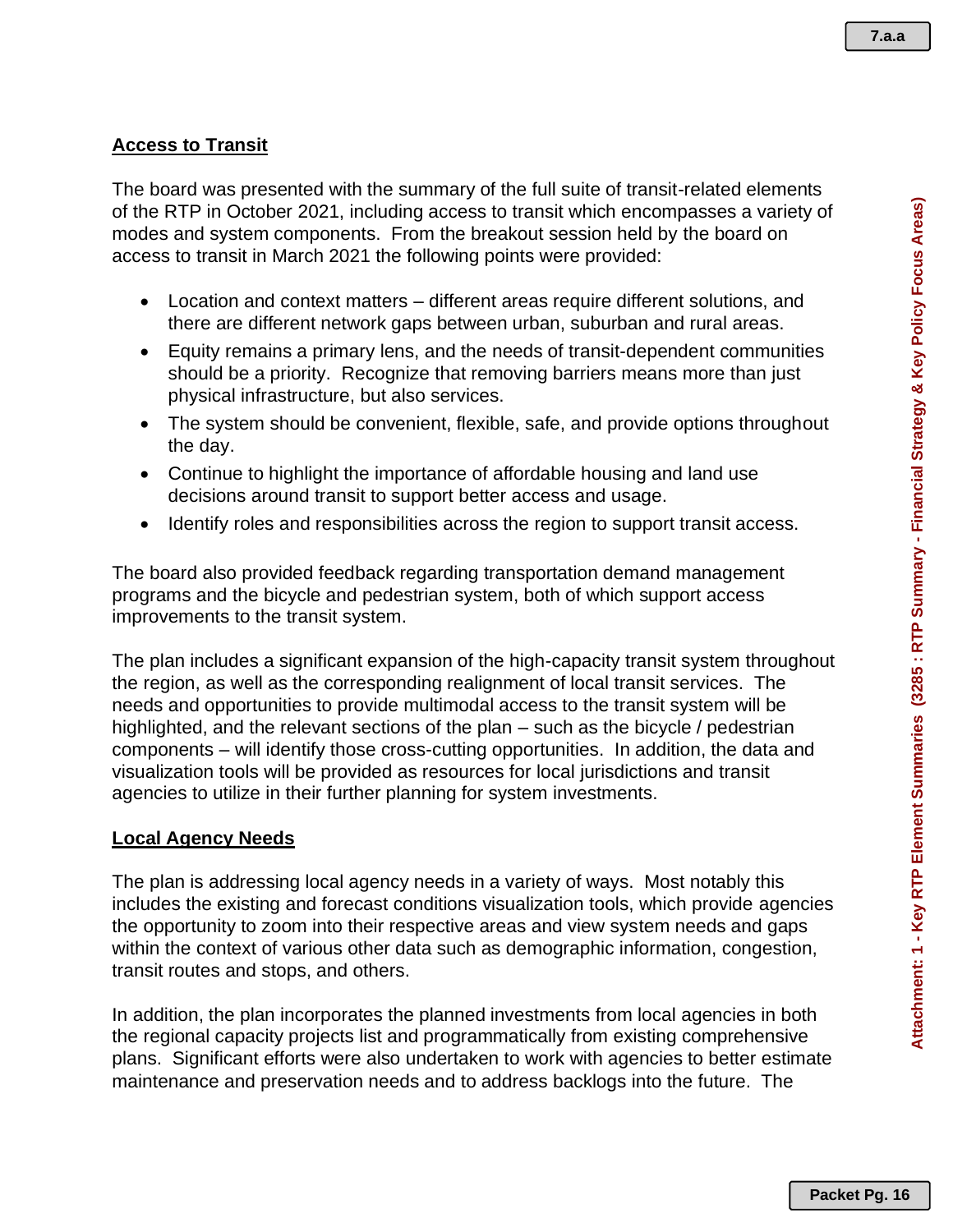# **Access to Transit**

The board was presented with the summary of the full suite of transit-related elements of the RTP in October 2021, including access to transit which encompasses a variety of modes and system components. From the breakout session held by the board on access to transit in March 2021 the following points were provided:

- Location and context matters different areas require different solutions, and there are different network gaps between urban, suburban and rural areas.
- Equity remains a primary lens, and the needs of transit-dependent communities should be a priority. Recognize that removing barriers means more than just physical infrastructure, but also services.
- The system should be convenient, flexible, safe, and provide options throughout the day.
- Continue to highlight the importance of affordable housing and land use decisions around transit to support better access and usage.
- Identify roles and responsibilities across the region to support transit access.

The board also provided feedback regarding transportation demand management programs and the bicycle and pedestrian system, both of which support access improvements to the transit system.

The plan includes a significant expansion of the high-capacity transit system throughout the region, as well as the corresponding realignment of local transit services. The needs and opportunities to provide multimodal access to the transit system will be highlighted, and the relevant sections of the plan – such as the bicycle / pedestrian components – will identify those cross-cutting opportunities. In addition, the data and visualization tools will be provided as resources for local jurisdictions and transit agencies to utilize in their further planning for system investments.

#### **Local Agency Needs**

The plan is addressing local agency needs in a variety of ways. Most notably this includes the existing and forecast conditions visualization tools, which provide agencies the opportunity to zoom into their respective areas and view system needs and gaps within the context of various other data such as demographic information, congestion, transit routes and stops, and others.

In addition, the plan incorporates the planned investments from local agencies in both the regional capacity projects list and programmatically from existing comprehensive plans. Significant efforts were also undertaken to work with agencies to better estimate maintenance and preservation needs and to address backlogs into the future. The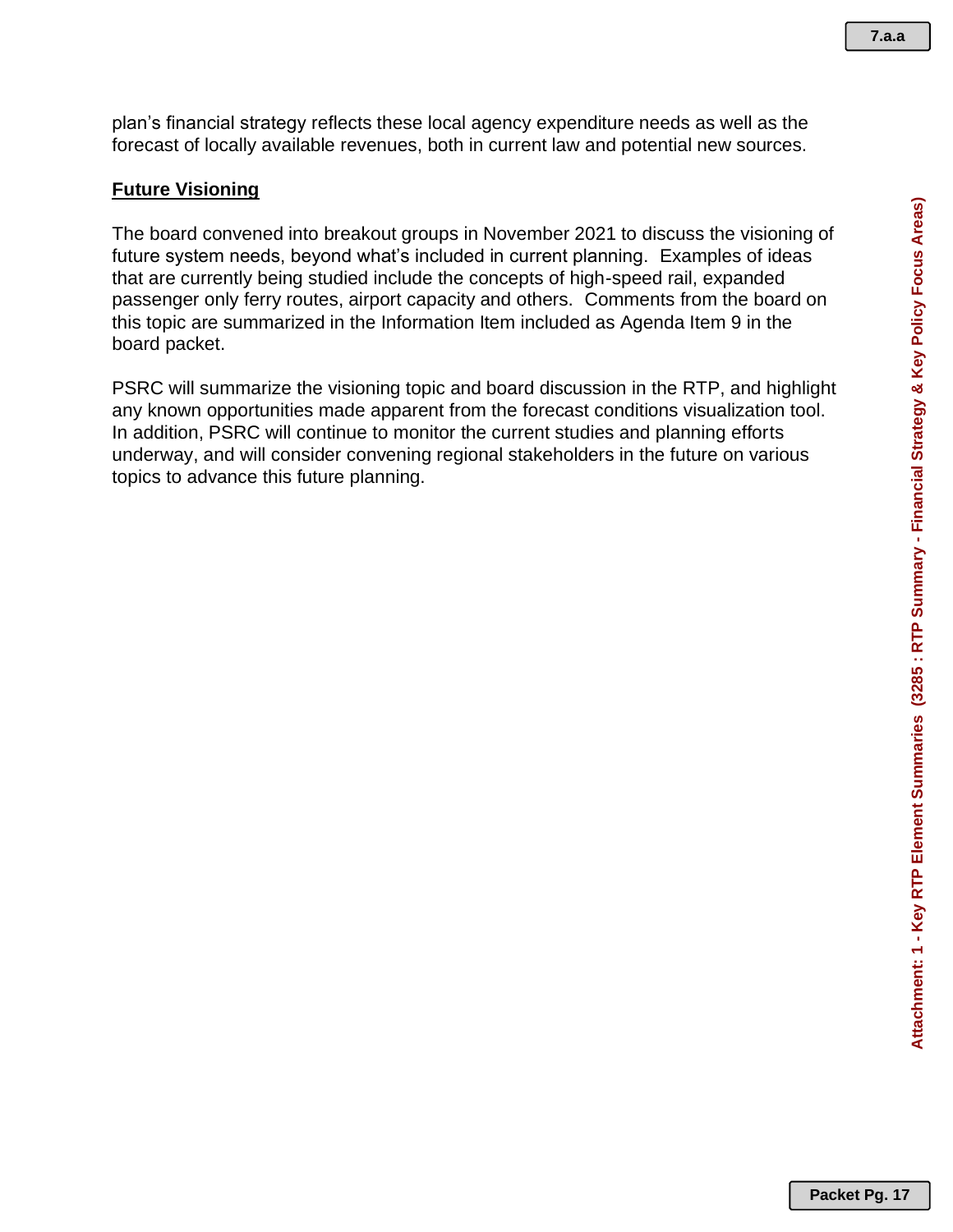plan's financial strategy reflects these local agency expenditure needs as well as the forecast of locally available revenues, both in current law and potential new sources.

#### **Future Visioning**

The board convened into breakout groups in November 2021 to discuss the visioning of future system needs, beyond what's included in current planning. Examples of ideas that are currently being studied include the concepts of high-speed rail, expanded passenger only ferry routes, airport capacity and others. Comments from the board on this topic are summarized in the Information Item included as Agenda Item 9 in the board packet.

PSRC will summarize the visioning topic and board discussion in the RTP, and highlight any known opportunities made apparent from the forecast conditions visualization tool. In addition, PSRC will continue to monitor the current studies and planning efforts underway, and will consider convening regional stakeholders in the future on various topics to advance this future planning.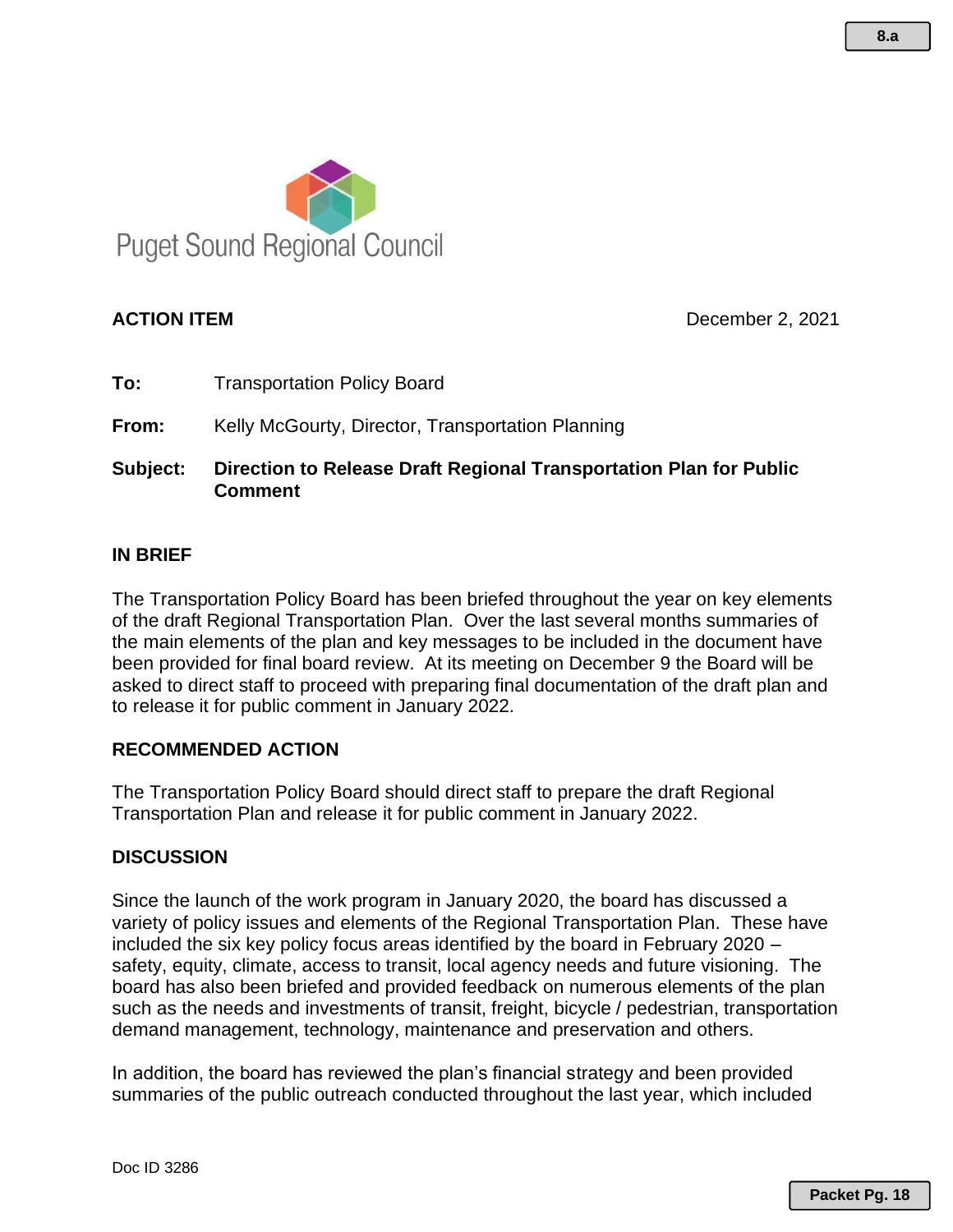

**ACTION ITEM** December 2, 2021

**To:** Transportation Policy Board

**From:** Kelly McGourty, Director, Transportation Planning

**Subject: Direction to Release Draft Regional Transportation Plan for Public Comment**

### **IN BRIEF**

The Transportation Policy Board has been briefed throughout the year on key elements of the draft Regional Transportation Plan. Over the last several months summaries of the main elements of the plan and key messages to be included in the document have been provided for final board review. At its meeting on December 9 the Board will be asked to direct staff to proceed with preparing final documentation of the draft plan and to release it for public comment in January 2022.

#### **RECOMMENDED ACTION**

The Transportation Policy Board should direct staff to prepare the draft Regional Transportation Plan and release it for public comment in January 2022.

# **DISCUSSION**

Since the launch of the work program in January 2020, the board has discussed a variety of policy issues and elements of the Regional Transportation Plan. These have included the six key policy focus areas identified by the board in February 2020 – safety, equity, climate, access to transit, local agency needs and future visioning. The board has also been briefed and provided feedback on numerous elements of the plan such as the needs and investments of transit, freight, bicycle / pedestrian, transportation demand management, technology, maintenance and preservation and others.

In addition, the board has reviewed the plan's financial strategy and been provided summaries of the public outreach conducted throughout the last year, which included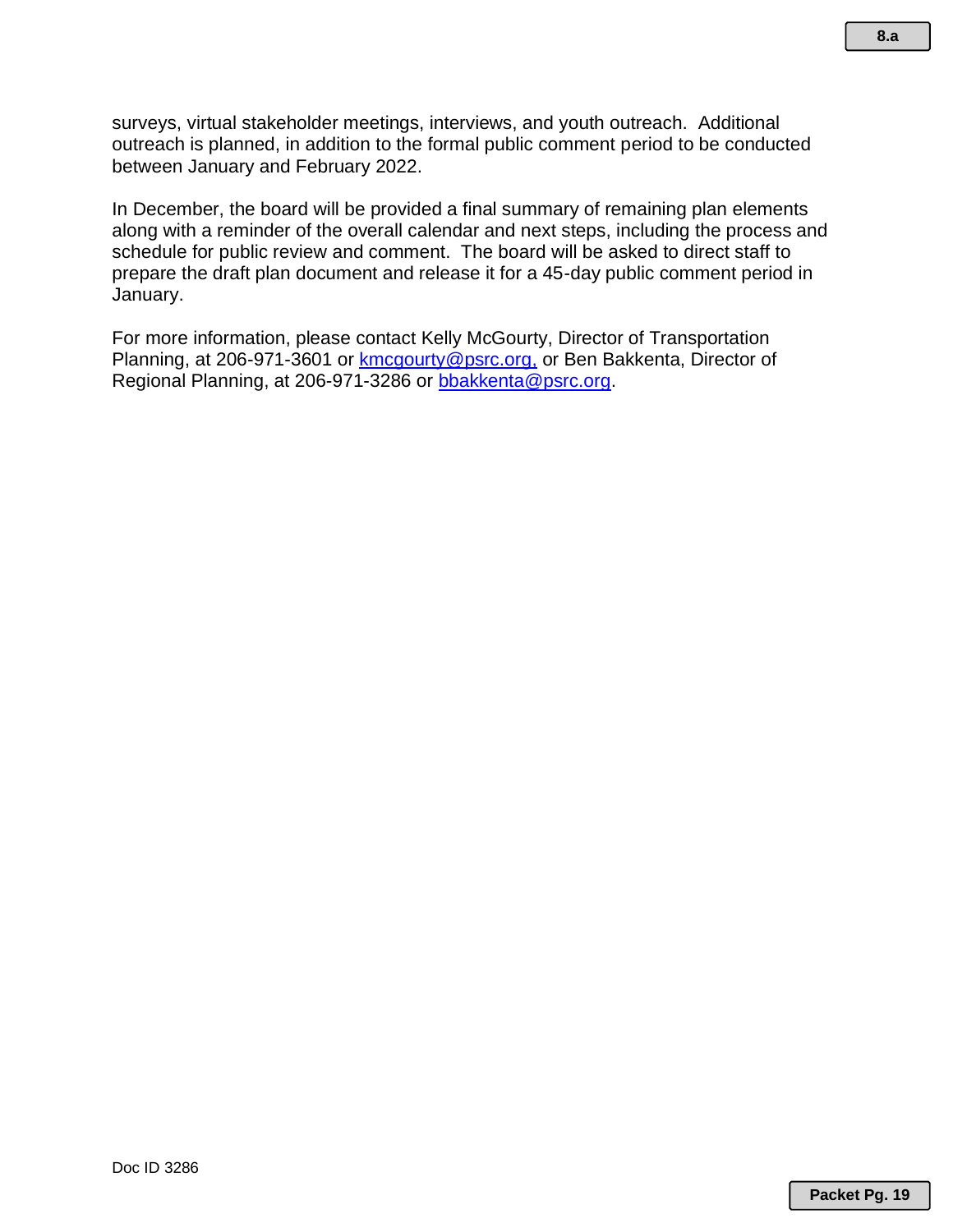surveys, virtual stakeholder meetings, interviews, and youth outreach. Additional outreach is planned, in addition to the formal public comment period to be conducted between January and February 2022.

In December, the board will be provided a final summary of remaining plan elements along with a reminder of the overall calendar and next steps, including the process and schedule for public review and comment. The board will be asked to direct staff to prepare the draft plan document and release it for a 45-day public comment period in January.

For more information, please contact Kelly McGourty, Director of Transportation Planning, at 206-971-3601 or [kmcgourty@psrc.org,](mailto:kmcgourty@psrc.org) or Ben Bakkenta, Director of Regional Planning, at 206-971-3286 or [bbakkenta@psrc.org.](mailto:bbakkenta@psrc.org)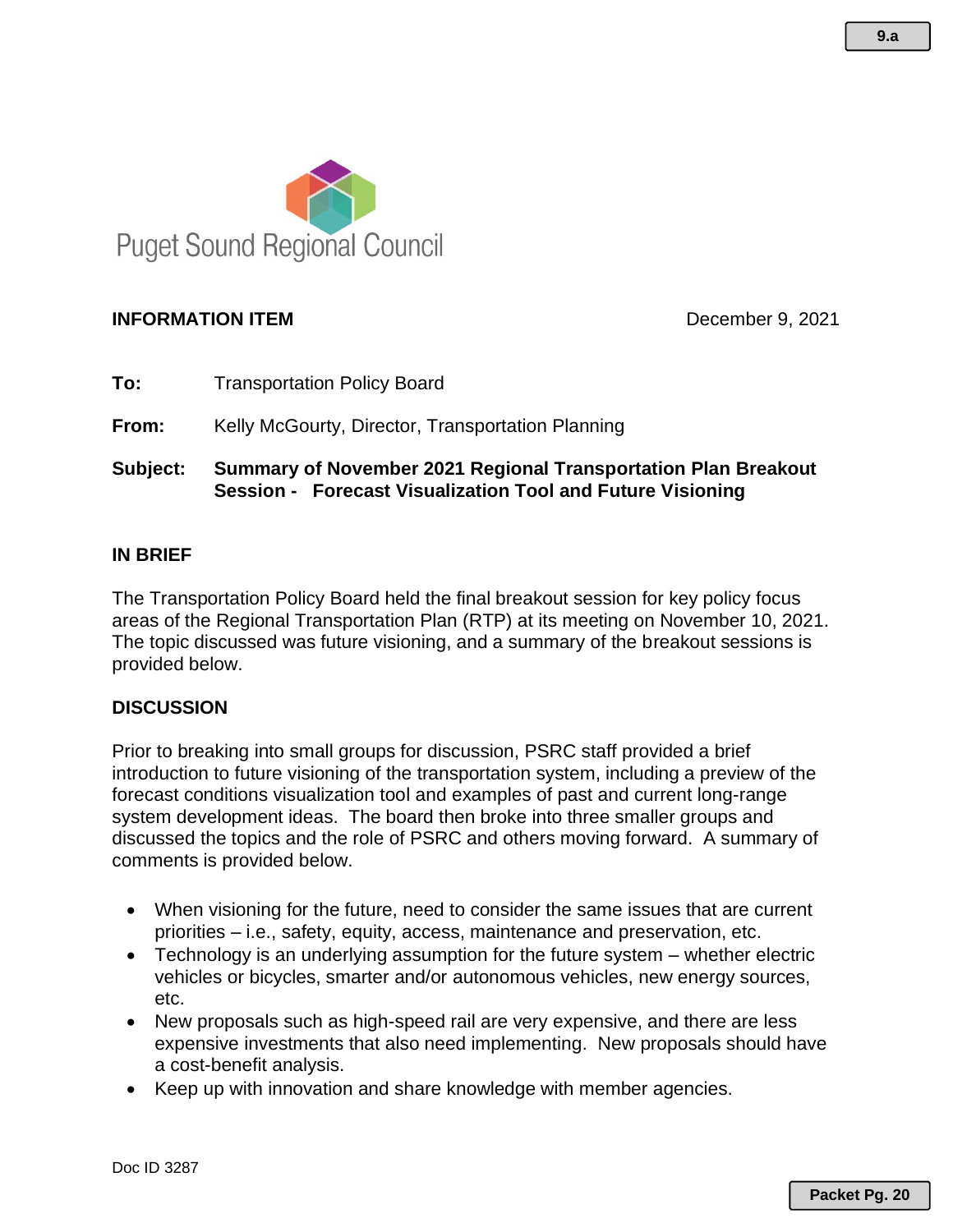

# **INFORMATION ITEM December 9, 2021**

**To:** Transportation Policy Board

**From:** Kelly McGourty, Director, Transportation Planning

# **Subject: Summary of November 2021 Regional Transportation Plan Breakout Session - Forecast Visualization Tool and Future Visioning**

### **IN BRIEF**

The Transportation Policy Board held the final breakout session for key policy focus areas of the Regional Transportation Plan (RTP) at its meeting on November 10, 2021. The topic discussed was future visioning, and a summary of the breakout sessions is provided below.

#### **DISCUSSION**

Prior to breaking into small groups for discussion, PSRC staff provided a brief introduction to future visioning of the transportation system, including a preview of the forecast conditions visualization tool and examples of past and current long-range system development ideas. The board then broke into three smaller groups and discussed the topics and the role of PSRC and others moving forward. A summary of comments is provided below.

- When visioning for the future, need to consider the same issues that are current priorities – i.e., safety, equity, access, maintenance and preservation, etc.
- Technology is an underlying assumption for the future system whether electric vehicles or bicycles, smarter and/or autonomous vehicles, new energy sources, etc.
- New proposals such as high-speed rail are very expensive, and there are less expensive investments that also need implementing. New proposals should have a cost-benefit analysis.
- Keep up with innovation and share knowledge with member agencies.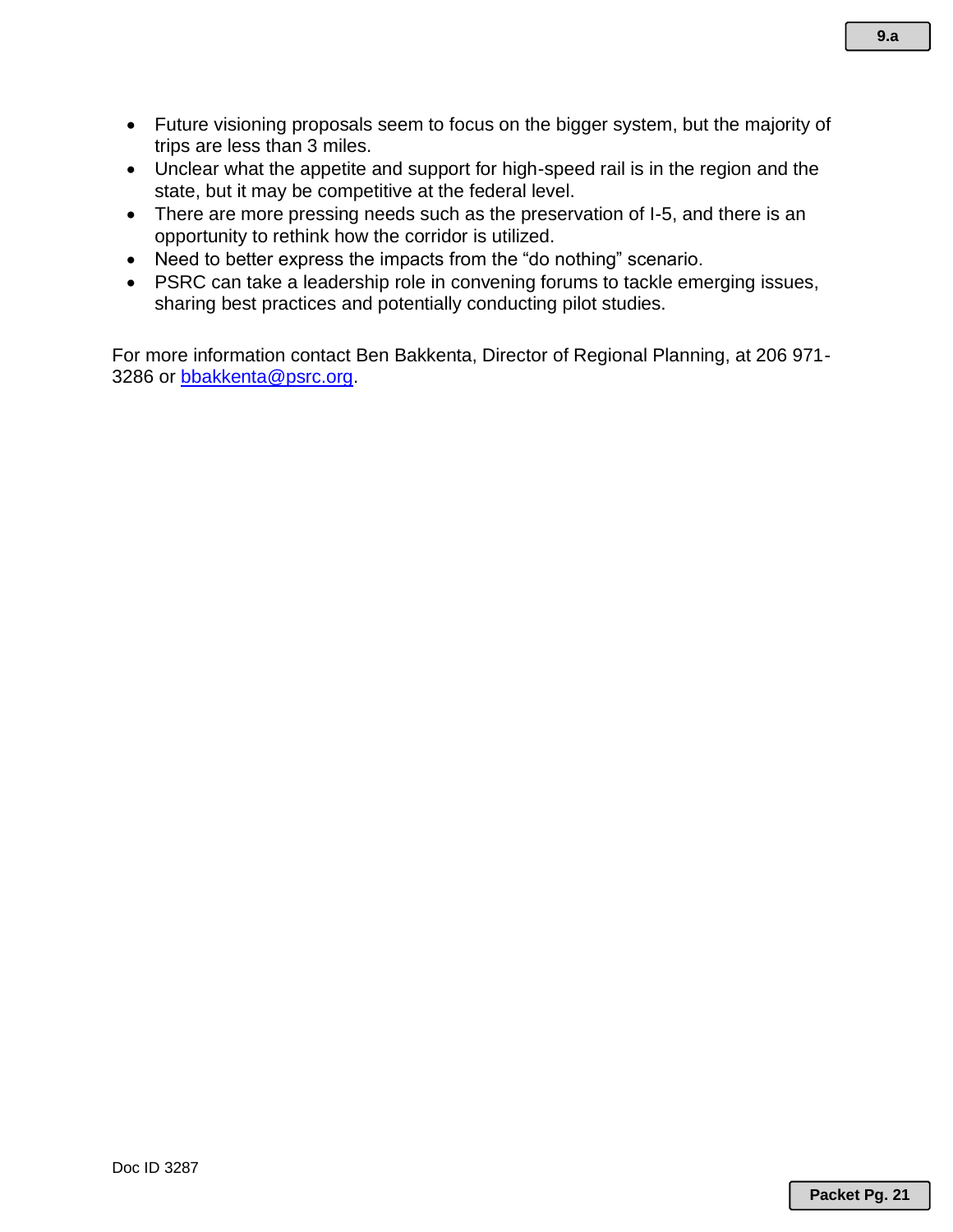- Future visioning proposals seem to focus on the bigger system, but the majority of trips are less than 3 miles.
- Unclear what the appetite and support for high-speed rail is in the region and the state, but it may be competitive at the federal level.
- There are more pressing needs such as the preservation of I-5, and there is an opportunity to rethink how the corridor is utilized.
- Need to better express the impacts from the "do nothing" scenario.
- PSRC can take a leadership role in convening forums to tackle emerging issues, sharing best practices and potentially conducting pilot studies.

For more information contact Ben Bakkenta, Director of Regional Planning, at 206 971 3286 or [bbakkenta@psrc.org.](mailto:bbakkenta@psrc.org)